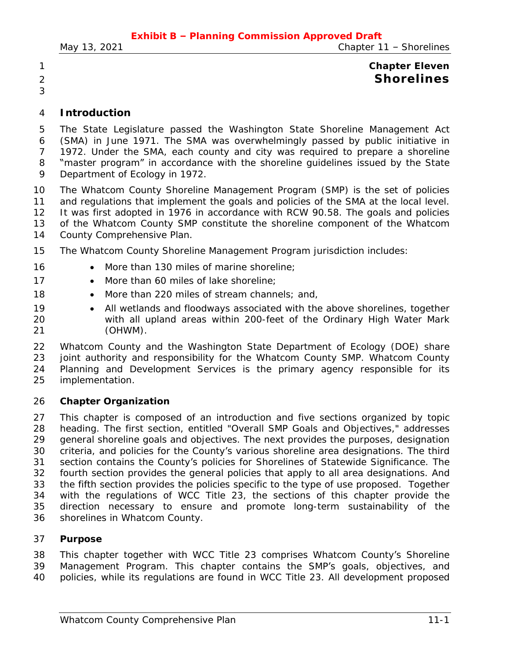# **Chapter Eleven Shorelines**

# **Introduction**

 The State Legislature passed the Washington State Shoreline Management Act (SMA) in June 1971. The SMA was overwhelmingly passed by public initiative in 1972. Under the SMA, each county and city was required to prepare a shoreline 8 "master program" in accordance with the shoreline guidelines issued by the State Department of Ecology in 1972.

The Whatcom County Shoreline Management Program (SMP) is the set of policies

11 and regulations that implement the goals and policies of the SMA at the local level.

It was first adopted in 1976 in accordance with RCW 90.58. The goals and policies

- of the Whatcom County SMP constitute the shoreline component of the Whatcom
- County Comprehensive Plan.
- The Whatcom County Shoreline Management Program jurisdiction includes:
- 16 More than 130 miles of marine shoreline;
- 17 More than 60 miles of lake shoreline;
- 18 More than 220 miles of stream channels; and,
- 19 All wetlands and floodways associated with the above shorelines, together with all upland areas within 200-feet of the Ordinary High Water Mark (OHWM).

 Whatcom County and the Washington State Department of Ecology (DOE) share joint authority and responsibility for the Whatcom County SMP. Whatcom County Planning and Development Services is the primary agency responsible for its implementation.

# **Chapter Organization**

 This chapter is composed of an introduction and five sections organized by topic heading. The first section, entitled "Overall SMP Goals and Objectives," addresses general shoreline goals and objectives. The next provides the purposes, designation criteria, and policies for the County's various shoreline area designations. The third section contains the County's policies for Shorelines of Statewide Significance. The fourth section provides the general policies that apply to all area designations. And the fifth section provides the policies specific to the type of use proposed. Together with the regulations of WCC Title 23, the sections of this chapter provide the direction necessary to ensure and promote long-term sustainability of the shorelines in Whatcom County.

# **Purpose**

 This chapter together with WCC Title 23 comprises Whatcom County's Shoreline Management Program. This chapter contains the SMP's goals, objectives, and policies, while its regulations are found in WCC Title 23. All development proposed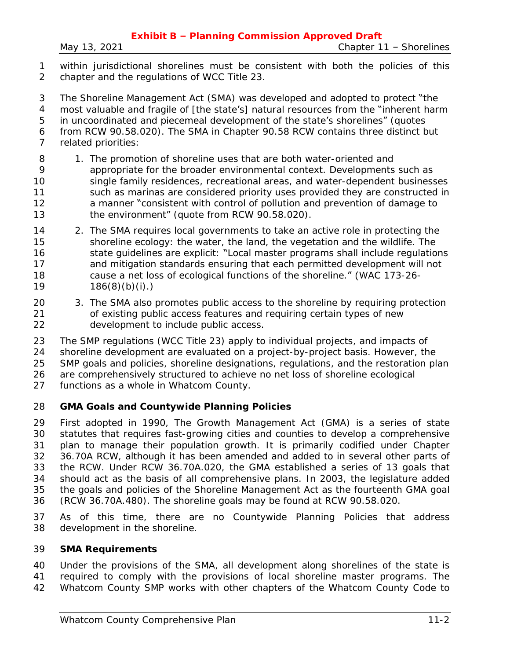within jurisdictional shorelines must be consistent with both the policies of this chapter and the regulations of WCC Title 23.

 The Shoreline Management Act (SMA) was developed and adopted to protect "the most valuable and fragile of [the state's] natural resources from the "inherent harm in uncoordinated and piecemeal development of the state's shorelines" (quotes from RCW 90.58.020). The SMA in Chapter 90.58 RCW contains three distinct but related priorities:

- 8 1. The promotion of shoreline uses that are both water-oriented and appropriate for the broader environmental context. Developments such as single family residences, recreational areas, and water-dependent businesses 11 such as marinas are considered priority uses provided they are constructed in a manner "consistent with control of pollution and prevention of damage to the environment" (quote from RCW 90.58.020).
- 2. The SMA requires local governments to take an active role in protecting the shoreline ecology: the water, the land, the vegetation and the wildlife. The 16 state guidelines are explicit: "Local master programs shall include regulations and mitigation standards ensuring that each permitted development will not cause a net loss of ecological functions of the shoreline." (WAC [173-26-](https://www.codepublishing.com/cgi-bin/wac.pl?cite=173-26-186) 186(8)(b)(i).)
- 20 3. The SMA also promotes public access to the shoreline by requiring protection of existing public access features and requiring certain types of new development to include public access.

 The SMP regulations (WCC Title 23) apply to individual projects, and impacts of shoreline development are evaluated on a project-by-project basis. However, the SMP goals and policies, shoreline designations, regulations, and the restoration plan are comprehensively structured to achieve no net loss of shoreline ecological

functions as a whole in Whatcom County.

# **GMA Goals and Countywide Planning Policies**

 First adopted in 1990, The Growth Management Act (GMA) is a series of state statutes that requires fast-growing cities and counties to develop a comprehensive plan to manage their population growth. It is primarily codified under Chapter 36.70A RCW, although it has been amended and added to in several other parts of the RCW. Under RCW 36.70A.020, the GMA established a series of 13 goals that should act as the basis of all comprehensive plans. In 2003, the legislature added the goals and policies of the Shoreline Management Act as the fourteenth GMA goal (RCW 36.70A.480). The shoreline goals may be found at RCW 90.58.020.

 As of this time, there are no Countywide Planning Policies that address development in the shoreline.

#### **SMA Requirements**

 Under the provisions of the SMA, all development along shorelines of the state is required to comply with the provisions of local shoreline master programs. The Whatcom County SMP works with other chapters of the Whatcom County Code to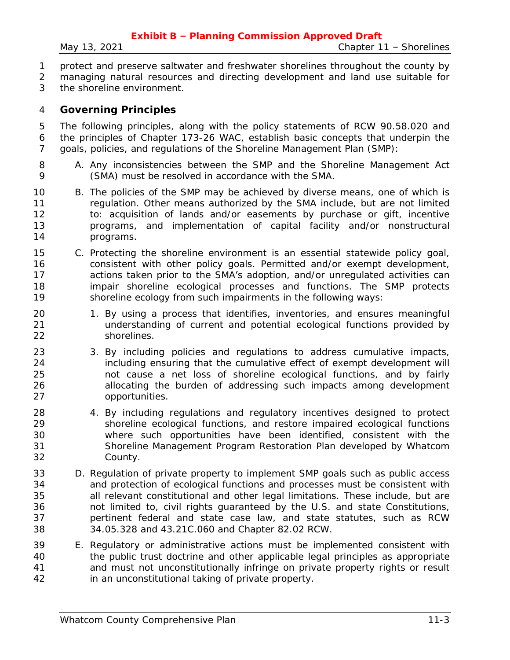- protect and preserve saltwater and freshwater shorelines throughout the county by
- managing natural resources and directing development and land use suitable for
- the shoreline environment.

# **Governing Principles**

 The following principles, along with the policy statements of RCW 90.58.020 and the principles of Chapter 173-26 WAC, establish basic concepts that underpin the goals, policies, and regulations of the Shoreline Management Plan (SMP):

- A. Any inconsistencies between the SMP and the Shoreline Management Act (SMA) must be resolved in accordance with the SMA.
- B. The policies of the SMP may be achieved by diverse means, one of which is regulation. Other means authorized by the SMA include, but are not limited to: acquisition of lands and/or easements by purchase or gift, incentive programs, and implementation of capital facility and/or nonstructural programs.
- C. Protecting the shoreline environment is an essential statewide policy goal, consistent with other policy goals. Permitted and/or exempt development, actions taken prior to the SMA's adoption, and/or unregulated activities can impair shoreline ecological processes and functions. The SMP protects shoreline ecology from such impairments in the following ways:
- 20 1. By using a process that identifies, inventories, and ensures meaningful understanding of current and potential ecological functions provided by shorelines.
- 23 3. By including policies and regulations to address cumulative impacts, including ensuring that the cumulative effect of exempt development will not cause a net loss of shoreline ecological functions, and by fairly allocating the burden of addressing such impacts among development opportunities.
- 4. By including regulations and regulatory incentives designed to protect shoreline ecological functions, and restore impaired ecological functions where such opportunities have been identified, consistent with the Shoreline Management Program Restoration Plan developed by Whatcom County.
- D. Regulation of private property to implement SMP goals such as public access and protection of ecological functions and processes must be consistent with all relevant constitutional and other legal limitations. These include, but are not limited to, civil rights guaranteed by the U.S. and state Constitutions, pertinent federal and state case law, and state statutes, such as RCW 34.05.328 and 43.21C.060 and Chapter 82.02 RCW.
- E. Regulatory or administrative actions must be implemented consistent with the public trust doctrine and other applicable legal principles as appropriate and must not unconstitutionally infringe on private property rights or result in an unconstitutional taking of private property.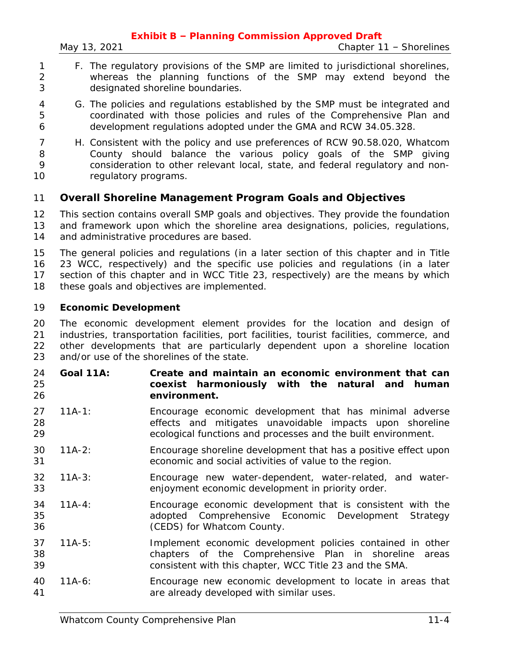- F. The regulatory provisions of the SMP are limited to jurisdictional shorelines, whereas the planning functions of the SMP may extend beyond the designated shoreline boundaries.
- G. The policies and regulations established by the SMP must be integrated and coordinated with those policies and rules of the Comprehensive Plan and development regulations adopted under the GMA and RCW 34.05.328.
- H. Consistent with the policy and use preferences of RCW 90.58.020, Whatcom County should balance the various policy goals of the SMP giving consideration to other relevant local, state, and federal regulatory and non-10 regulatory programs.

# **Overall Shoreline Management Program Goals and Objectives**

 This section contains overall SMP goals and objectives. They provide the foundation and framework upon which the shoreline area designations, policies, regulations, 14 and administrative procedures are based.

 The general policies and regulations (in a later section of this chapter and in Title 23 WCC, respectively) and the specific use policies and regulations (in a later section of this chapter and in WCC Title 23, respectively) are the means by which 18 these goals and objectives are implemented.

## **Economic Development**

 The economic development element provides for the location and design of industries, transportation facilities, port facilities, tourist facilities, commerce, and other developments that are particularly dependent upon a shoreline location and/or use of the shorelines of the state.

- **Goal 11A: Create and maintain an economic environment that can coexist harmoniously with the natural and human environment.**
- 11A-1: Encourage economic development that has minimal adverse effects and mitigates unavoidable impacts upon shoreline ecological functions and processes and the built environment.
- 11A-2: Encourage shoreline development that has a positive effect upon economic and social activities of value to the region.
- 11A-3: Encourage new water-dependent, water-related, and water-enjoyment economic development in priority order.
- 11A-4: Encourage economic development that is consistent with the adopted Comprehensive Economic Development Strategy (CEDS) for Whatcom County.
- 11A-5: Implement economic development policies contained in other chapters of the Comprehensive Plan in shoreline areas consistent with this chapter, WCC Title 23 and the SMA.
- 11A-6: Encourage new economic development to locate in areas that are already developed with similar uses.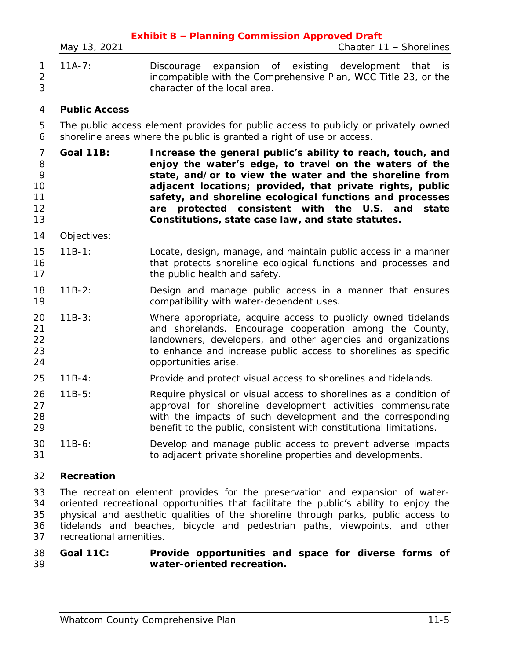| $\mathbf{1}$<br>$\sqrt{2}$<br>3                  | $11A-7:$             | Discourage expansion of existing development that<br>- İS<br>incompatible with the Comprehensive Plan, WCC Title 23, or the<br>character of the local area.                                                                                                                                                                                                                                                             |
|--------------------------------------------------|----------------------|-------------------------------------------------------------------------------------------------------------------------------------------------------------------------------------------------------------------------------------------------------------------------------------------------------------------------------------------------------------------------------------------------------------------------|
| $\overline{4}$                                   | <b>Public Access</b> |                                                                                                                                                                                                                                                                                                                                                                                                                         |
| 5<br>6                                           |                      | The public access element provides for public access to publicly or privately owned<br>shoreline areas where the public is granted a right of use or access.                                                                                                                                                                                                                                                            |
| $\overline{7}$<br>8<br>9<br>10<br>11<br>12<br>13 | <b>Goal 11B:</b>     | Increase the general public's ability to reach, touch, and<br>enjoy the water's edge, to travel on the waters of the<br>state, and/or to view the water and the shoreline from<br>adjacent locations; provided, that private rights, public<br>safety, and shoreline ecological functions and processes<br>protected consistent with the U.S. and<br>state<br>are<br>Constitutions, state case law, and state statutes. |
| 14                                               | Objectives:          |                                                                                                                                                                                                                                                                                                                                                                                                                         |
| 15<br>16<br>17                                   | $11B-1:$             | Locate, design, manage, and maintain public access in a manner<br>that protects shoreline ecological functions and processes and<br>the public health and safety.                                                                                                                                                                                                                                                       |
| 18<br>19                                         | $11B-2:$             | Design and manage public access in a manner that ensures<br>compatibility with water-dependent uses.                                                                                                                                                                                                                                                                                                                    |
| 20<br>21<br>22<br>23<br>24                       | $11B-3:$             | Where appropriate, acquire access to publicly owned tidelands<br>and shorelands. Encourage cooperation among the County,<br>landowners, developers, and other agencies and organizations<br>to enhance and increase public access to shorelines as specific<br>opportunities arise.                                                                                                                                     |
| 25                                               | $11B-4:$             | Provide and protect visual access to shorelines and tidelands.                                                                                                                                                                                                                                                                                                                                                          |
| 26<br>27<br>28<br>29                             | $11B-5:$             | Require physical or visual access to shorelines as a condition of<br>approval for shoreline development activities commensurate<br>with the impacts of such development and the corresponding<br>benefit to the public, consistent with constitutional limitations.                                                                                                                                                     |
| 30<br>31                                         | $11B-6:$             | Develop and manage public access to prevent adverse impacts<br>to adjacent private shoreline properties and developments.                                                                                                                                                                                                                                                                                               |
| 32                                               | Recreation           |                                                                                                                                                                                                                                                                                                                                                                                                                         |
|                                                  |                      |                                                                                                                                                                                                                                                                                                                                                                                                                         |

**Exhibit B – Planning Commission Approved Draft** *May 13, 2021 Chapter 11 – Shorelines*

 The recreation element provides for the preservation and expansion of water- oriented recreational opportunities that facilitate the public's ability to enjoy the physical and aesthetic qualities of the shoreline through parks, public access to tidelands and beaches, bicycle and pedestrian paths, viewpoints, and other recreational amenities.

#### **Goal 11C: Provide opportunities and space for diverse forms of water-oriented recreation.**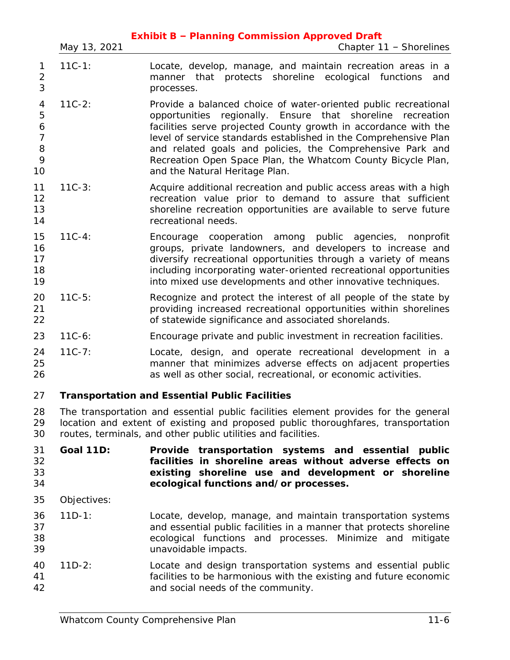|                                               | May 13, 2021     | Chapter 11 - Shorelines                                                                                                                                                                                                                                                                                                                                                                                                                       |
|-----------------------------------------------|------------------|-----------------------------------------------------------------------------------------------------------------------------------------------------------------------------------------------------------------------------------------------------------------------------------------------------------------------------------------------------------------------------------------------------------------------------------------------|
| 1<br>$\overline{2}$<br>3                      | $11C-1:$         | Locate, develop, manage, and maintain recreation areas in a<br>manner that protects shoreline ecological functions<br>and<br>processes.                                                                                                                                                                                                                                                                                                       |
| 4<br>5<br>6<br>$\overline{7}$<br>8<br>9<br>10 | $11C-2:$         | Provide a balanced choice of water-oriented public recreational<br>regionally. Ensure that<br>shoreline<br>opportunities<br>recreation<br>facilities serve projected County growth in accordance with the<br>level of service standards established in the Comprehensive Plan<br>and related goals and policies, the Comprehensive Park and<br>Recreation Open Space Plan, the Whatcom County Bicycle Plan,<br>and the Natural Heritage Plan. |
| 11<br>12<br>13<br>14                          | $11C-3:$         | Acquire additional recreation and public access areas with a high<br>recreation value prior to demand to assure that sufficient<br>shoreline recreation opportunities are available to serve future<br>recreational needs.                                                                                                                                                                                                                    |
| 15<br>16<br>17<br>18<br>19                    | $11C - 4:$       | Encourage cooperation among public agencies,<br>nonprofit<br>groups, private landowners, and developers to increase and<br>diversify recreational opportunities through a variety of means<br>including incorporating water-oriented recreational opportunities<br>into mixed use developments and other innovative techniques.                                                                                                               |
| 20<br>21<br>22                                | $11C-5:$         | Recognize and protect the interest of all people of the state by<br>providing increased recreational opportunities within shorelines<br>of statewide significance and associated shorelands.                                                                                                                                                                                                                                                  |
| 23                                            | $11C-6:$         | Encourage private and public investment in recreation facilities.                                                                                                                                                                                                                                                                                                                                                                             |
| 24<br>25<br>26                                | $11C - 7:$       | Locate, design, and operate recreational development in a<br>manner that minimizes adverse effects on adjacent properties<br>as well as other social, recreational, or economic activities.                                                                                                                                                                                                                                                   |
| 27                                            |                  | <b>Transportation and Essential Public Facilities</b>                                                                                                                                                                                                                                                                                                                                                                                         |
| 28<br>29<br>30                                |                  | The transportation and essential public facilities element provides for the general<br>location and extent of existing and proposed public thoroughfares, transportation<br>routes, terminals, and other public utilities and facilities.                                                                                                                                                                                                     |
| 31<br>32<br>33<br>34                          | <b>Goal 11D:</b> | Provide transportation systems and essential public<br>facilities in shoreline areas without adverse effects on<br>existing shoreline use and development or shoreline<br>ecological functions and/or processes.                                                                                                                                                                                                                              |
| 35                                            | Objectives:      |                                                                                                                                                                                                                                                                                                                                                                                                                                               |
| 36<br>37<br>38<br>39                          | $11D-1:$         | Locate, develop, manage, and maintain transportation systems<br>and essential public facilities in a manner that protects shoreline<br>ecological functions and processes. Minimize and mitigate<br>unavoidable impacts.                                                                                                                                                                                                                      |
| 40<br>41<br>42                                | $11D-2:$         | Locate and design transportation systems and essential public<br>facilities to be harmonious with the existing and future economic<br>and social needs of the community.                                                                                                                                                                                                                                                                      |
|                                               |                  |                                                                                                                                                                                                                                                                                                                                                                                                                                               |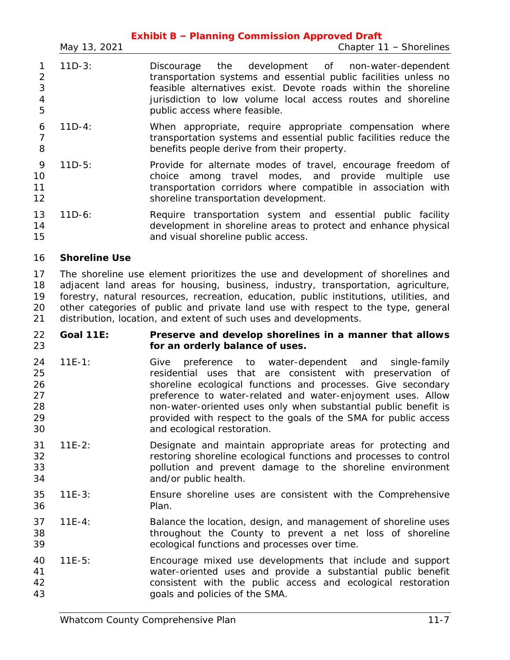|                     | <b>Exhibit B - Planning Commission Approved Draft</b> |                                                                                                                                                                                                                                                                                          |  |  |  |
|---------------------|-------------------------------------------------------|------------------------------------------------------------------------------------------------------------------------------------------------------------------------------------------------------------------------------------------------------------------------------------------|--|--|--|
|                     | May 13, 2021                                          | Chapter 11 - Shorelines                                                                                                                                                                                                                                                                  |  |  |  |
| 2<br>3<br>4<br>5    | $11D-3:$                                              | Discourage the development of non-water-dependent<br>transportation systems and essential public facilities unless no<br>feasible alternatives exist. Devote roads within the shoreline<br>jurisdiction to low volume local access routes and shoreline<br>public access where feasible. |  |  |  |
| 6<br>8              | $11D-4:$                                              | When appropriate, require appropriate compensation where<br>transportation systems and essential public facilities reduce the<br>benefits people derive from their property.                                                                                                             |  |  |  |
| 9<br>10<br>11<br>12 | $11D-5:$                                              | Provide for alternate modes of travel, encourage freedom of<br>among travel modes, and provide multiple use<br>choice<br>transportation corridors where compatible in association with<br>shoreline transportation development.                                                          |  |  |  |
| 13<br>14<br>15      | $11D-6:$                                              | Require transportation system and essential public facility<br>development in shoreline areas to protect and enhance physical<br>and visual shoreline public access.                                                                                                                     |  |  |  |

# **Shoreline Use**

 The shoreline use element prioritizes the use and development of shorelines and adjacent land areas for housing, business, industry, transportation, agriculture, forestry, natural resources, recreation, education, public institutions, utilities, and other categories of public and private land use with respect to the type, general distribution, location, and extent of such uses and developments.

- **Goal 11E: Preserve and develop shorelines in a manner that allows for an orderly balance of uses.**
- 11E-1: Give preference to water-dependent and single-family residential uses that are consistent with preservation of shoreline ecological functions and processes. Give secondary preference to water-related and water-enjoyment uses. Allow non-water-oriented uses only when substantial public benefit is provided with respect to the goals of the SMA for public access and ecological restoration.
- 11E-2: Designate and maintain appropriate areas for protecting and restoring shoreline ecological functions and processes to control pollution and prevent damage to the shoreline environment and/or public health.
- 11E-3: Ensure shoreline uses are consistent with the Comprehensive Plan.
- 11E-4: Balance the location, design, and management of shoreline uses throughout the County to prevent a net loss of shoreline ecological functions and processes over time.
- 11E-5: Encourage mixed use developments that include and support water-oriented uses and provide a substantial public benefit consistent with the public access and ecological restoration goals and policies of the SMA.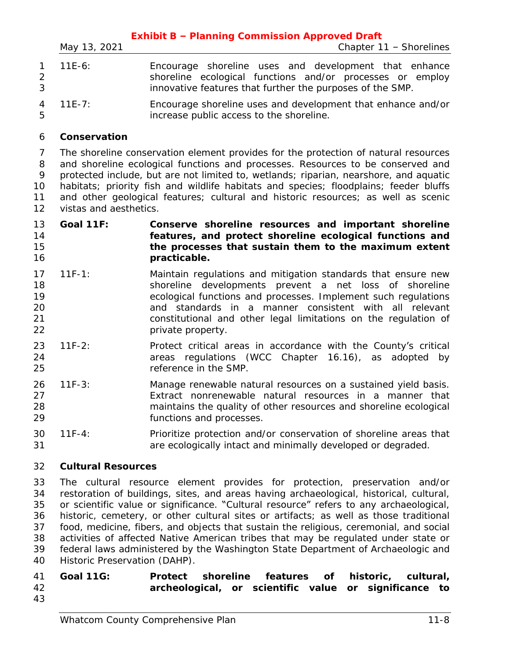|   | <b>Exhibit B - Planning Commission Approved Draft</b> |                                                                                                                                                                                 |  |  |  |
|---|-------------------------------------------------------|---------------------------------------------------------------------------------------------------------------------------------------------------------------------------------|--|--|--|
|   | May 13, 2021                                          | Chapter 11 - Shorelines                                                                                                                                                         |  |  |  |
| 3 | $1 11E-6:$                                            | Encourage shoreline uses and development that enhance<br>shoreline ecological functions and/or processes or employ<br>innovative features that further the purposes of the SMP. |  |  |  |
|   | 4 11E-7:                                              | Encourage shoreline uses and development that enhance and/or                                                                                                                    |  |  |  |

increase public access to the shoreline.

# **Conservation**

 The shoreline conservation element provides for the protection of natural resources and shoreline ecological functions and processes. Resources to be conserved and protected include, but are not limited to, wetlands; riparian, nearshore, and aquatic habitats; priority fish and wildlife habitats and species; floodplains; feeder bluffs and other geological features; cultural and historic resources; as well as scenic vistas and aesthetics.

## **Goal 11F: Conserve shoreline resources and important shoreline features, and protect shoreline ecological functions and the processes that sustain them to the maximum extent practicable.**

- 11F-1: Maintain regulations and mitigation standards that ensure new shoreline developments prevent a net loss of shoreline ecological functions and processes. Implement such regulations and standards in a manner consistent with all relevant constitutional and other legal limitations on the regulation of **private property.**
- 11F-2: Protect critical areas in accordance with the County's critical areas regulations (WCC Chapter 16.16), as adopted by reference in the SMP.
- 11F-3: Manage renewable natural resources on a sustained yield basis. Extract nonrenewable natural resources in a manner that maintains the quality of other resources and shoreline ecological functions and processes.
- 11F-4: Prioritize protection and/or conservation of shoreline areas that are ecologically intact and minimally developed or degraded.

# **Cultural Resources**

 The cultural resource element provides for protection, preservation and/or restoration of buildings, sites, and areas having archaeological, historical, cultural, or scientific value or significance. "Cultural resource" refers to any archaeological, historic, cemetery, or other cultural sites or artifacts; as well as those traditional food, medicine, fibers, and objects that sustain the religious, ceremonial, and social activities of affected Native American tribes that may be regulated under state or federal laws administered by the Washington State Department of Archaeologic and Historic Preservation (DAHP).

# **Goal 11G: Protect shoreline features of historic, cultural, archeological, or scientific value or significance to**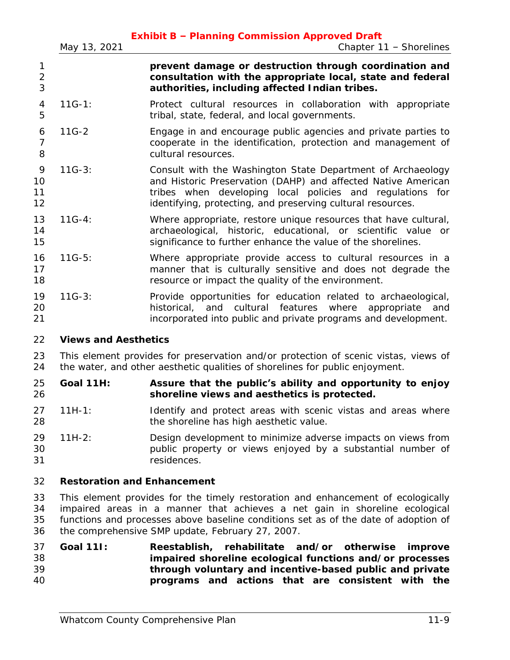|                          | May 13, 2021                | <b>Exhibit B - Planning Commission Approved Draft</b><br>Chapter $11$ – Shorelines                                                                                                                                                                       |
|--------------------------|-----------------------------|----------------------------------------------------------------------------------------------------------------------------------------------------------------------------------------------------------------------------------------------------------|
| 1<br>$\overline{2}$<br>3 |                             | prevent damage or destruction through coordination and<br>consultation with the appropriate local, state and federal<br>authorities, including affected Indian tribes.                                                                                   |
| $\overline{4}$<br>5      | $11G-1:$                    | Protect cultural resources in collaboration with appropriate<br>tribal, state, federal, and local governments.                                                                                                                                           |
| 6<br>$\overline{7}$<br>8 | $11G-2$                     | Engage in and encourage public agencies and private parties to<br>cooperate in the identification, protection and management of<br>cultural resources.                                                                                                   |
| 9<br>10<br>11<br>12      | $11G-3:$                    | Consult with the Washington State Department of Archaeology<br>and Historic Preservation (DAHP) and affected Native American<br>tribes when developing local policies and regulations for<br>identifying, protecting, and preserving cultural resources. |
| 13<br>14<br>15           | $11G-4:$                    | Where appropriate, restore unique resources that have cultural,<br>archaeological, historic, educational, or scientific value or<br>significance to further enhance the value of the shorelines.                                                         |
| 16<br>17<br>18           | $11G-5:$                    | Where appropriate provide access to cultural resources in a<br>manner that is culturally sensitive and does not degrade the<br>resource or impact the quality of the environment.                                                                        |
| 19<br>20<br>21           | $11G-3:$                    | Provide opportunities for education related to archaeological,<br>historical, and cultural features where<br>appropriate<br>and<br>incorporated into public and private programs and development.                                                        |
| 22                       | <b>Views and Aesthetics</b> |                                                                                                                                                                                                                                                          |
| 23<br>24                 |                             | This element provides for preservation and/or protection of scenic vistas, views of<br>the water, and other aesthetic qualities of shorelines for public enjoyment.                                                                                      |

 **Goal 11H: Assure that the public's ability and opportunity to enjoy shoreline views and aesthetics is protected.**

- 27 11H-1: Identify and protect areas with scenic vistas and areas where **the shoreline has high aesthetic value.**
- 11H-2: Design development to minimize adverse impacts on views from public property or views enjoyed by a substantial number of residences.

# **Restoration and Enhancement**

 This element provides for the timely restoration and enhancement of ecologically impaired areas in a manner that achieves a net gain in shoreline ecological functions and processes above baseline conditions set as of the date of adoption of the comprehensive SMP update, February 27, 2007.

# **Goal 11I: Reestablish, rehabilitate and/or otherwise improve impaired shoreline ecological functions and/or processes through voluntary and incentive-based public and private programs and actions that are consistent with the**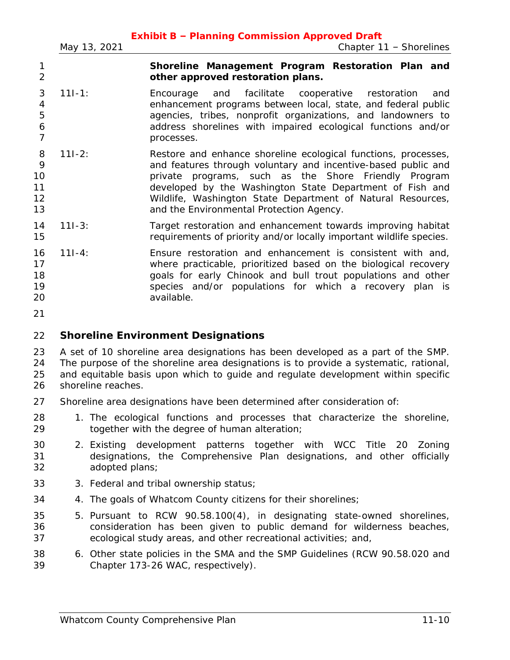|                                    | May 13, 2021 | <b>Exhibit B - Planning Commission Approved Draft</b><br>Chapter $11$ - Shorelines                                                                                                                                                                                                                                                                             |
|------------------------------------|--------------|----------------------------------------------------------------------------------------------------------------------------------------------------------------------------------------------------------------------------------------------------------------------------------------------------------------------------------------------------------------|
| 1<br>$\overline{2}$                |              | Shoreline Management Program Restoration Plan and<br>other approved restoration plans.                                                                                                                                                                                                                                                                         |
| 3<br>4<br>5<br>6<br>$\overline{7}$ | $111 - 1:$   | facilitate<br>cooperative<br>Encourage<br>and<br>restoration<br>and<br>enhancement programs between local, state, and federal public<br>agencies, tribes, nonprofit organizations, and landowners to<br>address shorelines with impaired ecological functions and/or<br>processes.                                                                             |
| 8<br>9<br>10<br>11<br>12<br>13     | $111 - 2:$   | Restore and enhance shoreline ecological functions, processes,<br>and features through voluntary and incentive-based public and<br>private programs, such as the Shore Friendly Program<br>developed by the Washington State Department of Fish and<br>Wildlife, Washington State Department of Natural Resources,<br>and the Environmental Protection Agency. |
| 14<br>15                           | $111 - 3:$   | Target restoration and enhancement towards improving habitat<br>requirements of priority and/or locally important wildlife species.                                                                                                                                                                                                                            |
| 16<br>17<br>18<br>19<br>20<br>21   | $111 - 4:$   | Ensure restoration and enhancement is consistent with and,<br>where practicable, prioritized based on the biological recovery<br>goals for early Chinook and bull trout populations and other<br>species and/or populations for which a recovery plan is<br>available.                                                                                         |
| 22                                 |              | <b>Shoreline Environment Designations</b>                                                                                                                                                                                                                                                                                                                      |
| 23<br>$\Omega$                     |              | A set of 10 shoreline area designations has been developed as a part of the SMP.<br>The nurrose of the eperating area decidentians is to provide a quotementic rational                                                                                                                                                                                        |

 The purpose of the shoreline area designations is to provide a systematic, rational, and equitable basis upon which to guide and regulate development within specific shoreline reaches.

- Shoreline area designations have been determined after consideration of:
- 1. The ecological functions and processes that characterize the shoreline, together with the degree of human alteration;
- 2. Existing development patterns together with WCC Title 20 Zoning designations, the Comprehensive Plan designations, and other officially adopted plans;
- 3. Federal and tribal ownership status;
- 4. The goals of Whatcom County citizens for their shorelines;
- 5. Pursuant to RCW 90.58.100(4), in designating state-owned shorelines, consideration has been given to public demand for wilderness beaches, ecological study areas, and other recreational activities; and,
- 6. Other state policies in the SMA and the SMP Guidelines (RCW 90.58.020 and Chapter 173-26 WAC, respectively).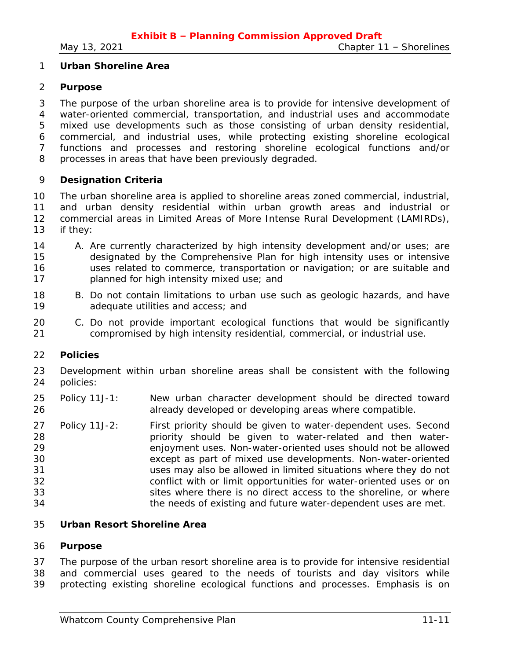## **Urban Shoreline Area**

#### **Purpose**

 The purpose of the urban shoreline area is to provide for intensive development of water-oriented commercial, transportation, and industrial uses and accommodate mixed use developments such as those consisting of urban density residential, commercial, and industrial uses, while protecting existing shoreline ecological functions and processes and restoring shoreline ecological functions and/or processes in areas that have been previously degraded.

#### **Designation Criteria**

 The urban shoreline area is applied to shoreline areas zoned commercial, industrial, and urban density residential within urban growth areas and industrial or commercial areas in Limited Areas of More Intense Rural Development (LAMIRDs), if they:

- 14 A. Are currently characterized by high intensity development and/or uses; are designated by the Comprehensive Plan for high intensity uses or intensive uses related to commerce, transportation or navigation; or are suitable and planned for high intensity mixed use; and
- B. Do not contain limitations to urban use such as geologic hazards, and have adequate utilities and access; and
- C. Do not provide important ecological functions that would be significantly compromised by high intensity residential, commercial, or industrial use.

#### **Policies**

- Development within urban shoreline areas shall be consistent with the following policies:
- Policy 11J-1: New urban character development should be directed toward already developed or developing areas where compatible.
- Policy 11J-2: First priority should be given to water-dependent uses. Second priority should be given to water-related and then water- enjoyment uses. Non-water-oriented uses should not be allowed except as part of mixed use developments. Non-water-oriented uses may also be allowed in limited situations where they do not conflict with or limit opportunities for water-oriented uses or on sites where there is no direct access to the shoreline, or where the needs of existing and future water-dependent uses are met.

#### **Urban Resort Shoreline Area**

#### **Purpose**

 The purpose of the urban resort shoreline area is to provide for intensive residential and commercial uses geared to the needs of tourists and day visitors while protecting existing shoreline ecological functions and processes. Emphasis is on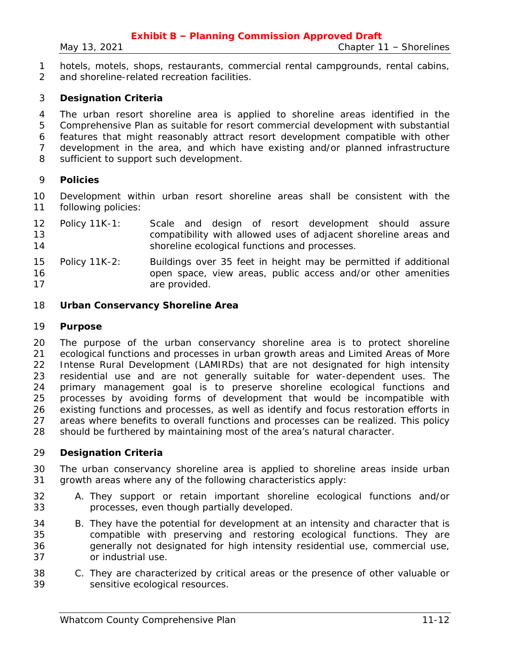hotels, motels, shops, restaurants, commercial rental campgrounds, rental cabins, and shoreline-related recreation facilities.

# **Designation Criteria**

 The urban resort shoreline area is applied to shoreline areas identified in the Comprehensive Plan as suitable for resort commercial development with substantial features that might reasonably attract resort development compatible with other development in the area, and which have existing and/or planned infrastructure sufficient to support such development.

#### **Policies**

 Development within urban resort shoreline areas shall be consistent with the following policies:

- Policy 11K-1: Scale and design of resort development should assure compatibility with allowed uses of adjacent shoreline areas and shoreline ecological functions and processes.
- Policy 11K-2: Buildings over 35 feet in height may be permitted if additional open space, view areas, public access and/or other amenities 17 are provided.

#### **Urban Conservancy Shoreline Area**

#### **Purpose**

 The purpose of the urban conservancy shoreline area is to protect shoreline ecological functions and processes in urban growth areas and Limited Areas of More Intense Rural Development (LAMIRDs) that are not designated for high intensity residential use and are not generally suitable for water-dependent uses. The primary management goal is to preserve shoreline ecological functions and processes by avoiding forms of development that would be incompatible with existing functions and processes, as well as identify and focus restoration efforts in areas where benefits to overall functions and processes can be realized. This policy should be furthered by maintaining most of the area's natural character.

#### **Designation Criteria**

- The urban conservancy shoreline area is applied to shoreline areas inside urban growth areas where any of the following characteristics apply:
- A. They support or retain important shoreline ecological functions and/or processes, even though partially developed.
- B. They have the potential for development at an intensity and character that is compatible with preserving and restoring ecological functions. They are generally not designated for high intensity residential use, commercial use, or industrial use.
- C. They are characterized by critical areas or the presence of other valuable or sensitive ecological resources.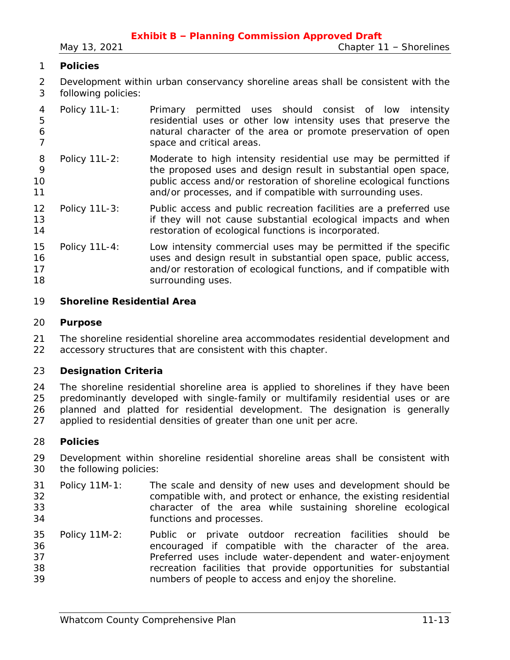# **Policies**

 Development within urban conservancy shoreline areas shall be consistent with the following policies:

|   | 4 Policy 11L-1: | Primary permitted uses should consist of low intensity         |  |  |  |
|---|-----------------|----------------------------------------------------------------|--|--|--|
| 5 |                 | residential uses or other low intensity uses that preserve the |  |  |  |
| 6 |                 | natural character of the area or promote preservation of open  |  |  |  |
|   |                 | space and critical areas.                                      |  |  |  |

- Policy 11L-2: Moderate to high intensity residential use may be permitted if the proposed uses and design result in substantial open space, public access and/or restoration of shoreline ecological functions **1 and/or processes, and if compatible with surrounding uses.**
- Policy 11L-3: Public access and public recreation facilities are a preferred use **if they will not cause substantial ecological impacts and when** restoration of ecological functions is incorporated.
- Policy 11L-4: Low intensity commercial uses may be permitted if the specific uses and design result in substantial open space, public access, and/or restoration of ecological functions, and if compatible with **Surrounding uses**.

# **Shoreline Residential Area**

## **Purpose**

 The shoreline residential shoreline area accommodates residential development and accessory structures that are consistent with this chapter.

# **Designation Criteria**

 The shoreline residential shoreline area is applied to shorelines if they have been predominantly developed with single-family or multifamily residential uses or are planned and platted for residential development. The designation is generally applied to residential densities of greater than one unit per acre.

#### **Policies**

 Development within shoreline residential shoreline areas shall be consistent with the following policies:

- Policy 11M-1: The scale and density of new uses and development should be compatible with, and protect or enhance, the existing residential character of the area while sustaining shoreline ecological functions and processes.
- Policy 11M-2: Public or private outdoor recreation facilities should be encouraged if compatible with the character of the area. Preferred uses include water-dependent and water-enjoyment recreation facilities that provide opportunities for substantial numbers of people to access and enjoy the shoreline.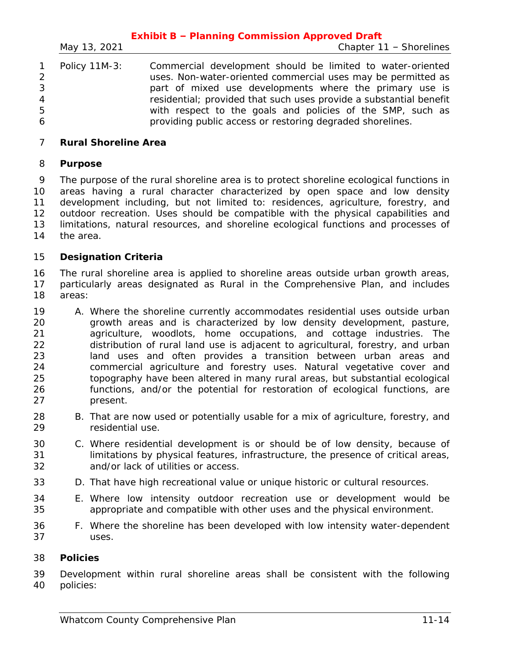|   |               | <b>Exhibit B - Planning Commission Approved Draft</b>                                                                                                                                 |
|---|---------------|---------------------------------------------------------------------------------------------------------------------------------------------------------------------------------------|
|   | May 13, 2021  | Chapter 11 - Shorelines                                                                                                                                                               |
| 3 | Policy 11M-3: | Commercial development should be limited to water-oriented<br>uses. Non-water-oriented commercial uses may be permitted as<br>part of mixed use developments where the primary use is |
| 4 |               | residential; provided that such uses provide a substantial benefit                                                                                                                    |
| 5 |               | with respect to the goals and policies of the SMP, such as                                                                                                                            |
| 6 |               | providing public access or restoring degraded shorelines.                                                                                                                             |

# **Rural Shoreline Area**

## **Purpose**

 The purpose of the rural shoreline area is to protect shoreline ecological functions in areas having a rural character characterized by open space and low density development including, but not limited to: residences, agriculture, forestry, and outdoor recreation. Uses should be compatible with the physical capabilities and limitations, natural resources, and shoreline ecological functions and processes of the area.

# **Designation Criteria**

 The rural shoreline area is applied to shoreline areas outside urban growth areas, particularly areas designated as Rural in the Comprehensive Plan, and includes areas:

- A. Where the shoreline currently accommodates residential uses outside urban growth areas and is characterized by low density development, pasture, agriculture, woodlots, home occupations, and cottage industries. The distribution of rural land use is adjacent to agricultural, forestry, and urban land uses and often provides a transition between urban areas and commercial agriculture and forestry uses. Natural vegetative cover and topography have been altered in many rural areas, but substantial ecological functions, and/or the potential for restoration of ecological functions, are present.
- B. That are now used or potentially usable for a mix of agriculture, forestry, and residential use.
- C. Where residential development is or should be of low density, because of limitations by physical features, infrastructure, the presence of critical areas, and/or lack of utilities or access.
- D. That have high recreational value or unique historic or cultural resources.
- E. Where low intensity outdoor recreation use or development would be appropriate and compatible with other uses and the physical environment.
- F. Where the shoreline has been developed with low intensity water-dependent uses.

#### **Policies**

 Development within rural shoreline areas shall be consistent with the following policies: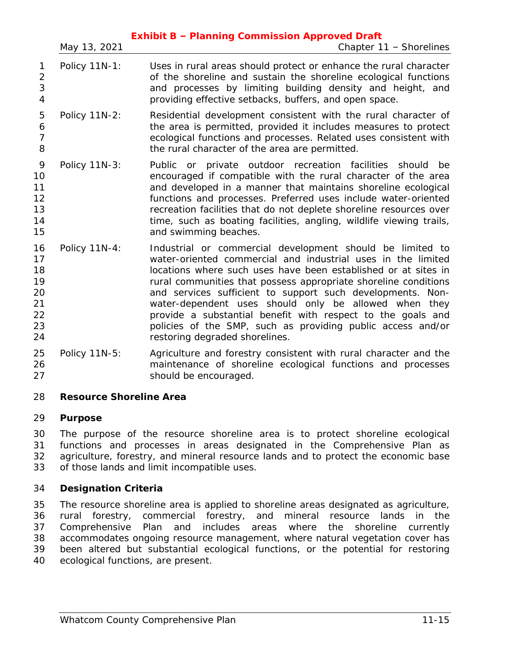|                                                    |               | <b>Exhibit B - Planning Commission Approved Draft</b>                                                                                                                                                                                                                                                                                                                                                                                                                                                                                                 |
|----------------------------------------------------|---------------|-------------------------------------------------------------------------------------------------------------------------------------------------------------------------------------------------------------------------------------------------------------------------------------------------------------------------------------------------------------------------------------------------------------------------------------------------------------------------------------------------------------------------------------------------------|
|                                                    | May 13, 2021  | Chapter 11 - Shorelines                                                                                                                                                                                                                                                                                                                                                                                                                                                                                                                               |
| 1<br>$\overline{2}$<br>3<br>$\overline{4}$         | Policy 11N-1: | Uses in rural areas should protect or enhance the rural character<br>of the shoreline and sustain the shoreline ecological functions<br>and processes by limiting building density and height, and<br>providing effective setbacks, buffers, and open space.                                                                                                                                                                                                                                                                                          |
| 5<br>6<br>$\overline{7}$<br>8                      | Policy 11N-2: | Residential development consistent with the rural character of<br>the area is permitted, provided it includes measures to protect<br>ecological functions and processes. Related uses consistent with<br>the rural character of the area are permitted.                                                                                                                                                                                                                                                                                               |
| 9<br>10<br>11<br>12<br>13<br>14<br>15              | Policy 11N-3: | Public or private outdoor recreation facilities should<br>be<br>encouraged if compatible with the rural character of the area<br>and developed in a manner that maintains shoreline ecological<br>functions and processes. Preferred uses include water-oriented<br>recreation facilities that do not deplete shoreline resources over<br>time, such as boating facilities, angling, wildlife viewing trails,<br>and swimming beaches.                                                                                                                |
| 16<br>17<br>18<br>19<br>20<br>21<br>22<br>23<br>24 | Policy 11N-4: | Industrial or commercial development should be limited to<br>water-oriented commercial and industrial uses in the limited<br>locations where such uses have been established or at sites in<br>rural communities that possess appropriate shoreline conditions<br>and services sufficient to support such developments. Non-<br>water-dependent uses should only be allowed when they<br>provide a substantial benefit with respect to the goals and<br>policies of the SMP, such as providing public access and/or<br>restoring degraded shorelines. |
| 25<br>26<br>27                                     | Policy 11N-5: | Agriculture and forestry consistent with rural character and the<br>maintenance of shoreline ecological functions and processes<br>should be encouraged.                                                                                                                                                                                                                                                                                                                                                                                              |

# **Resource Shoreline Area**

# **Purpose**

 The purpose of the resource shoreline area is to protect shoreline ecological functions and processes in areas designated in the Comprehensive Plan as agriculture, forestry, and mineral resource lands and to protect the economic base of those lands and limit incompatible uses.

# **Designation Criteria**

 The resource shoreline area is applied to shoreline areas designated as agriculture, rural forestry, commercial forestry, and mineral resource lands in the Comprehensive Plan and includes areas where the shoreline currently accommodates ongoing resource management, where natural vegetation cover has been altered but substantial ecological functions, or the potential for restoring ecological functions, are present.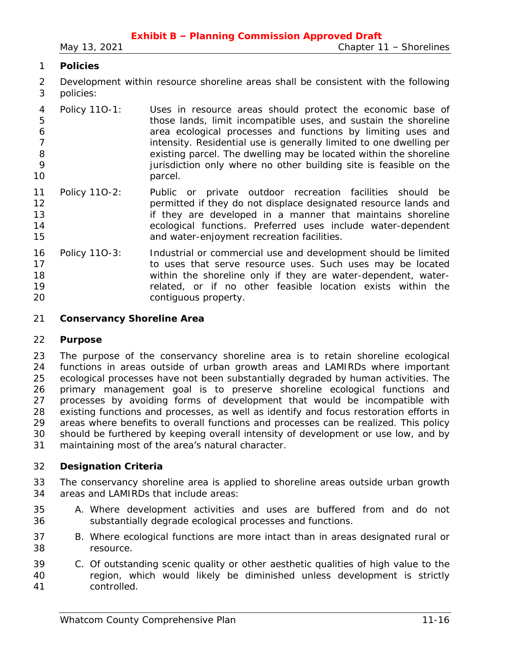# **Policies**

- Development within resource shoreline areas shall be consistent with the following policies:
- Policy 11O-1: Uses in resource areas should protect the economic base of those lands, limit incompatible uses, and sustain the shoreline area ecological processes and functions by limiting uses and **intensity. Residential use is generally limited to one dwelling per**  existing parcel. The dwelling may be located within the shoreline **12** jurisdiction only where no other building site is feasible on the 10 parcel.
- Policy 11O-2: Public or private outdoor recreation facilities should be **permitted if they do not displace designated resource lands and if they are developed in a manner that maintains shoreline**  ecological functions. Preferred uses include water-dependent and water-enjoyment recreation facilities.
- Policy 11O-3: Industrial or commercial use and development should be limited 17 to uses that serve resource uses. Such uses may be located within the shoreline only if they are water-dependent, water- related, or if no other feasible location exists within the contiguous property.
- **Conservancy Shoreline Area**

#### **Purpose**

 The purpose of the conservancy shoreline area is to retain shoreline ecological functions in areas outside of urban growth areas and LAMIRDs where important ecological processes have not been substantially degraded by human activities. The primary management goal is to preserve shoreline ecological functions and processes by avoiding forms of development that would be incompatible with existing functions and processes, as well as identify and focus restoration efforts in areas where benefits to overall functions and processes can be realized. This policy should be furthered by keeping overall intensity of development or use low, and by maintaining most of the area's natural character.

#### **Designation Criteria**

- The conservancy shoreline area is applied to shoreline areas outside urban growth areas and LAMIRDs that include areas:
- A. Where development activities and uses are buffered from and do not substantially degrade ecological processes and functions.
- B. Where ecological functions are more intact than in areas designated rural or resource.
- C. Of outstanding scenic quality or other aesthetic qualities of high value to the region, which would likely be diminished unless development is strictly controlled.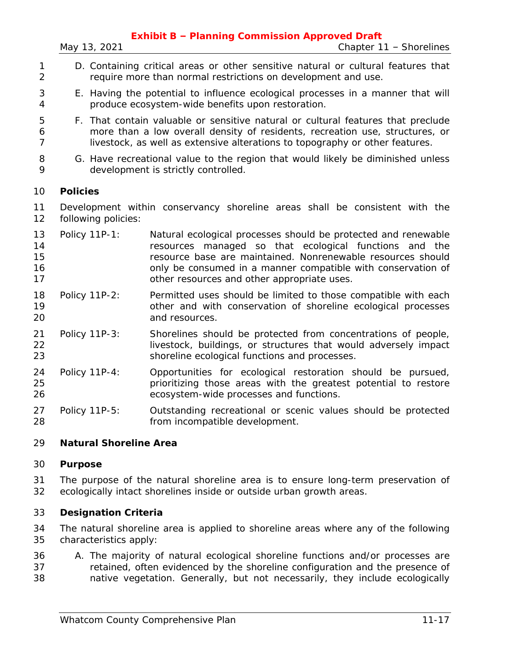- D. Containing critical areas or other sensitive natural or cultural features that require more than normal restrictions on development and use.
- E. Having the potential to influence ecological processes in a manner that will produce ecosystem-wide benefits upon restoration.
- F. That contain valuable or sensitive natural or cultural features that preclude more than a low overall density of residents, recreation use, structures, or livestock, as well as extensive alterations to topography or other features.
- G. Have recreational value to the region that would likely be diminished unless development is strictly controlled.

## **Policies**

 Development within conservancy shoreline areas shall be consistent with the following policies:

- Policy 11P-1: Natural ecological processes should be protected and renewable resources managed so that ecological functions and the resource base are maintained. Nonrenewable resources should **16 bushed in a manner compatible with conservation of** other resources and other appropriate uses.
- Policy 11P-2: Permitted uses should be limited to those compatible with each other and with conservation of shoreline ecological processes and resources.
- Policy 11P-3: Shorelines should be protected from concentrations of people, 22 livestock, buildings, or structures that would adversely impact shoreline ecological functions and processes.
- Policy 11P-4: Opportunities for ecological restoration should be pursued, prioritizing those areas with the greatest potential to restore ecosystem-wide processes and functions.
- Policy 11P-5: Outstanding recreational or scenic values should be protected from incompatible development.

# **Natural Shoreline Area**

# **Purpose**

 The purpose of the natural shoreline area is to ensure long-term preservation of ecologically intact shorelines inside or outside urban growth areas.

# **Designation Criteria**

 The natural shoreline area is applied to shoreline areas where any of the following characteristics apply:

 A. The majority of natural ecological shoreline functions and/or processes are retained, often evidenced by the shoreline configuration and the presence of native vegetation. Generally, but not necessarily, they include ecologically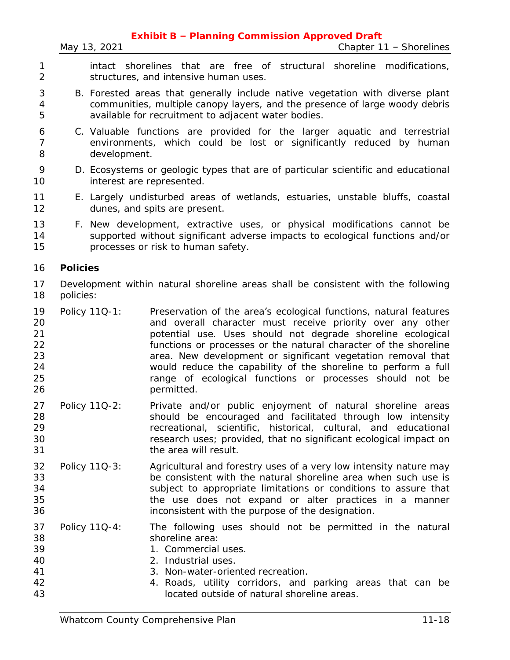*May 13, 2021 Chapter 11 – Shorelines*

- intact shorelines that are free of structural shoreline modifications, structures, and intensive human uses.
- B. Forested areas that generally include native vegetation with diverse plant communities, multiple canopy layers, and the presence of large woody debris available for recruitment to adjacent water bodies.
- C. Valuable functions are provided for the larger aquatic and terrestrial environments, which could be lost or significantly reduced by human development.
- D. Ecosystems or geologic types that are of particular scientific and educational interest are represented.
- E. Largely undisturbed areas of wetlands, estuaries, unstable bluffs, coastal dunes, and spits are present.
- F. New development, extractive uses, or physical modifications cannot be supported without significant adverse impacts to ecological functions and/or processes or risk to human safety.

#### **Policies**

- Development within natural shoreline areas shall be consistent with the following policies:
- Policy 11Q-1: Preservation of the area's ecological functions, natural features and overall character must receive priority over any other potential use. Uses should not degrade shoreline ecological functions or processes or the natural character of the shoreline area. New development or significant vegetation removal that would reduce the capability of the shoreline to perform a full range of ecological functions or processes should not be 26 permitted.
- Policy 11Q-2: Private and/or public enjoyment of natural shoreline areas should be encouraged and facilitated through low intensity recreational, scientific, historical, cultural, and educational research uses; provided, that no significant ecological impact on the area will result.
- Policy 11Q-3: Agricultural and forestry uses of a very low intensity nature may be consistent with the natural shoreline area when such use is subject to appropriate limitations or conditions to assure that the use does not expand or alter practices in a manner inconsistent with the purpose of the designation.
- Policy 11Q-4: The following uses should not be permitted in the natural shoreline area:
- 1. Commercial uses.
- 2. Industrial uses.
- 3. Non-water-oriented recreation.
- 4. Roads, utility corridors, and parking areas that can be located outside of natural shoreline areas.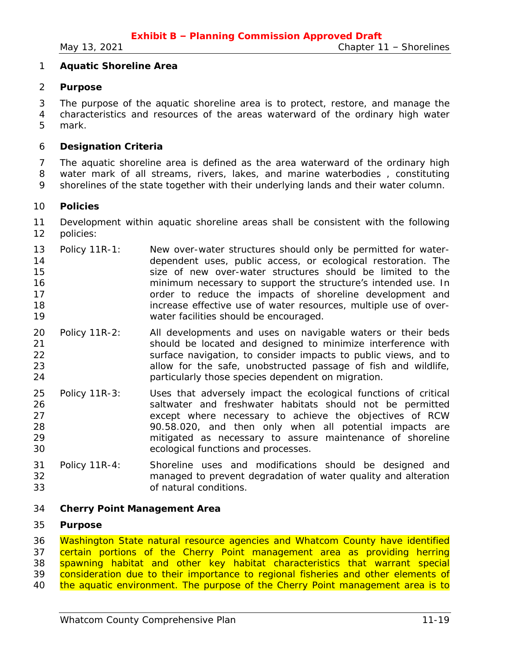#### **Aquatic Shoreline Area**

#### **Purpose**

 The purpose of the aquatic shoreline area is to protect, restore, and manage the characteristics and resources of the areas waterward of the ordinary high water mark.

## **Designation Criteria**

 The aquatic shoreline area is defined as the area waterward of the ordinary high water mark of all streams, rivers, lakes, and marine waterbodies , constituting shorelines of the state together with their underlying lands and their water column.

#### **Policies**

 Development within aquatic shoreline areas shall be consistent with the following policies:

- Policy 11R-1: New over-water structures should only be permitted for water- dependent uses, public access, or ecological restoration. The size of new over-water structures should be limited to the minimum necessary to support the structure's intended use. In **17** order to reduce the impacts of shoreline development and increase effective use of water resources, multiple use of over-water facilities should be encouraged.
- Policy 11R-2: All developments and uses on navigable waters or their beds should be located and designed to minimize interference with surface navigation, to consider impacts to public views, and to allow for the safe, unobstructed passage of fish and wildlife, particularly those species dependent on migration.
- Policy 11R-3: Uses that adversely impact the ecological functions of critical saltwater and freshwater habitats should not be permitted except where necessary to achieve the objectives of RCW 90.58.020, and then only when all potential impacts are mitigated as necessary to assure maintenance of shoreline ecological functions and processes.
- Policy 11R-4: Shoreline uses and modifications should be designed and managed to prevent degradation of water quality and alteration of natural conditions.

#### **Cherry Point Management Area**

#### **Purpose**

36 Washington State natural resource agencies and Whatcom County have identified certain portions of the Cherry Point management area as providing herring 38 spawning habitat and other key habitat characteristics that warrant special consideration due to their importance to regional fisheries and other elements of 40 the aquatic environment. The purpose of the Cherry Point management area is to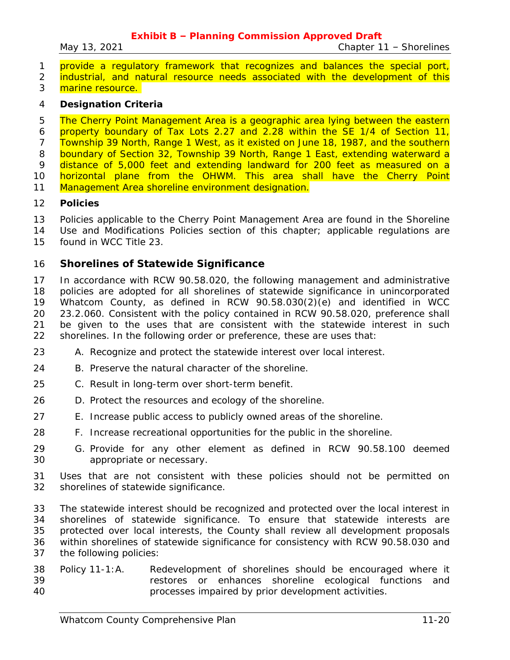*May 13, 2021 Chapter 11 – Shorelines*

1 provide a regulatory framework that recognizes and balances the special port, 2 industrial, and natural resource needs associated with the development of this

3 marine resource.

#### **Designation Criteria**

5 The Cherry Point Management Area is a geographic area lying between the eastern property boundary of Tax Lots 2.27 and 2.28 within the SE 1/4 of Section 11, Township 39 North, Range 1 West, as it existed on June 18, 1987, and the southern 8 boundary of Section 32, Township 39 North, Range 1 East, extending waterward a 9 distance of 5,000 feet and extending landward for 200 feet as measured on a **horizontal plane from the OHWM. This area shall have the Cherry Point** 11 Management Area shoreline environment designation.

- **Policies**
- Policies applicable to the Cherry Point Management Area are found in the Shoreline
- Use and Modifications Policies section of this chapter; applicable regulations are found in WCC Title 23.
- 

# **Shorelines of Statewide Significance**

 In accordance with RCW 90.58.020, the following management and administrative policies are adopted for all shorelines of statewide significance in unincorporated Whatcom County, as defined in RCW 90.58.030(2)(e) and identified in WCC 23.2.060. Consistent with the policy contained in RCW 90.58.020, preference shall be given to the uses that are consistent with the statewide interest in such shorelines. In the following order or preference, these are uses that:

- A. Recognize and protect the statewide interest over local interest.
- B. Preserve the natural character of the shoreline.
- C. Result in long-term over short-term benefit.
- D. Protect the resources and ecology of the shoreline.
- E. Increase public access to publicly owned areas of the shoreline.
- F. Increase recreational opportunities for the public in the shoreline.
- G. Provide for any other element as defined in RCW 90.58.100 deemed appropriate or necessary.
- Uses that are not consistent with these policies should not be permitted on shorelines of statewide significance.
- The statewide interest should be recognized and protected over the local interest in shorelines of statewide significance. To ensure that statewide interests are protected over local interests, the County shall review all development proposals within shorelines of statewide significance for consistency with RCW 90.58.030 and the following policies:
- Policy 11-1:A. Redevelopment of shorelines should be encouraged where it restores or enhances shoreline ecological functions and processes impaired by prior development activities.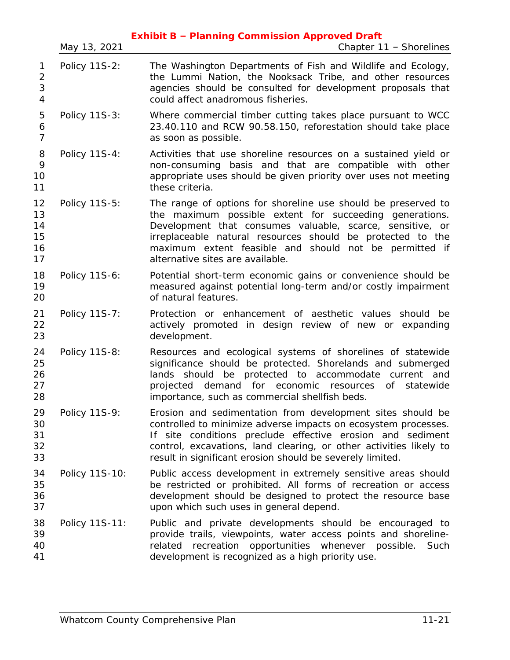|                                            | May 13, 2021   | <b>Exhibit B - Planning Commission Approved Draft</b><br>Chapter 11 - Shorelines                                                                                                                                                                                                                                                                     |
|--------------------------------------------|----------------|------------------------------------------------------------------------------------------------------------------------------------------------------------------------------------------------------------------------------------------------------------------------------------------------------------------------------------------------------|
| 1<br>$\overline{2}$<br>3<br>$\overline{4}$ | Policy 11S-2:  | The Washington Departments of Fish and Wildlife and Ecology,<br>the Lummi Nation, the Nooksack Tribe, and other resources<br>agencies should be consulted for development proposals that<br>could affect anadromous fisheries.                                                                                                                       |
| 5<br>6<br>$\overline{7}$                   | Policy 11S-3:  | Where commercial timber cutting takes place pursuant to WCC<br>23.40.110 and RCW 90.58.150, reforestation should take place<br>as soon as possible.                                                                                                                                                                                                  |
| 8<br>9<br>10<br>11                         | Policy 11S-4:  | Activities that use shoreline resources on a sustained yield or<br>non-consuming basis and that are compatible with other<br>appropriate uses should be given priority over uses not meeting<br>these criteria.                                                                                                                                      |
| 12<br>13<br>14<br>15<br>16<br>17           | Policy 11S-5:  | The range of options for shoreline use should be preserved to<br>the maximum possible extent for succeeding generations.<br>Development that consumes valuable, scarce, sensitive, or<br>irreplaceable natural resources should<br>be protected to the<br>maximum extent feasible and should not be permitted if<br>alternative sites are available. |
| 18<br>19<br>20                             | Policy 11S-6:  | Potential short-term economic gains or convenience should be<br>measured against potential long-term and/or costly impairment<br>of natural features.                                                                                                                                                                                                |
| 21<br>22<br>23                             | Policy 11S-7:  | Protection or enhancement of aesthetic values should be<br>actively promoted in design review of new or expanding<br>development.                                                                                                                                                                                                                    |
| 24<br>25<br>26<br>27<br>28                 | Policy 11S-8:  | Resources and ecological systems of shorelines of statewide<br>significance should be protected. Shorelands and submerged<br>lands should be protected to accommodate current and<br>demand for economic resources<br>of statewide<br>projected<br>importance, such as commercial shellfish beds.                                                    |
| 29<br>30<br>31<br>32<br>33                 | Policy 11S-9:  | Erosion and sedimentation from development sites should be<br>controlled to minimize adverse impacts on ecosystem processes.<br>If site conditions preclude effective erosion and sediment<br>control, excavations, land clearing, or other activities likely to<br>result in significant erosion should be severely limited.                        |
| 34<br>35<br>36<br>37                       | Policy 11S-10: | Public access development in extremely sensitive areas should<br>be restricted or prohibited. All forms of recreation or access<br>development should be designed to protect the resource base<br>upon which such uses in general depend.                                                                                                            |
| 38<br>39<br>40<br>41                       | Policy 11S-11: | Public and private developments should be encouraged to<br>provide trails, viewpoints, water access points and shoreline-<br>recreation opportunities whenever possible.<br>related<br>Such<br>development is recognized as a high priority use.                                                                                                     |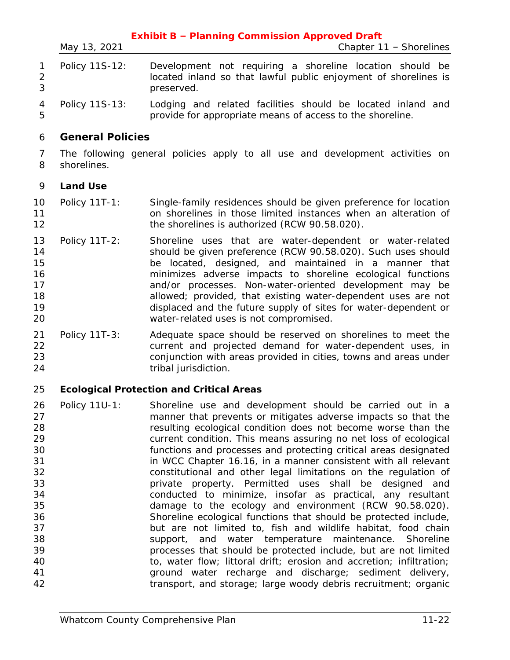|                                                                                  | May 13, 2021            | <b>Exhibit B - Planning Commission Approved Draft</b><br>Chapter 11 - Shorelines                                                                                                                                                                                                                                                                                                                                                                                                                                                                                                                                                                                                                                                                                                                                                                                                                                                         |
|----------------------------------------------------------------------------------|-------------------------|------------------------------------------------------------------------------------------------------------------------------------------------------------------------------------------------------------------------------------------------------------------------------------------------------------------------------------------------------------------------------------------------------------------------------------------------------------------------------------------------------------------------------------------------------------------------------------------------------------------------------------------------------------------------------------------------------------------------------------------------------------------------------------------------------------------------------------------------------------------------------------------------------------------------------------------|
| 1<br>$\overline{2}$<br>3                                                         | Policy 11S-12:          | Development not requiring a shoreline location should be<br>located inland so that lawful public enjoyment of shorelines is<br>preserved.                                                                                                                                                                                                                                                                                                                                                                                                                                                                                                                                                                                                                                                                                                                                                                                                |
| 4<br>5                                                                           | Policy 11S-13:          | Lodging and related facilities should be located inland and<br>provide for appropriate means of access to the shoreline.                                                                                                                                                                                                                                                                                                                                                                                                                                                                                                                                                                                                                                                                                                                                                                                                                 |
| 6                                                                                | <b>General Policies</b> |                                                                                                                                                                                                                                                                                                                                                                                                                                                                                                                                                                                                                                                                                                                                                                                                                                                                                                                                          |
| 7<br>8                                                                           | shorelines.             | The following general policies apply to all use and development activities on                                                                                                                                                                                                                                                                                                                                                                                                                                                                                                                                                                                                                                                                                                                                                                                                                                                            |
| 9                                                                                | <b>Land Use</b>         |                                                                                                                                                                                                                                                                                                                                                                                                                                                                                                                                                                                                                                                                                                                                                                                                                                                                                                                                          |
| 10<br>11<br>12                                                                   | Policy 11T-1:           | Single-family residences should be given preference for location<br>on shorelines in those limited instances when an alteration of<br>the shorelines is authorized (RCW 90.58.020).                                                                                                                                                                                                                                                                                                                                                                                                                                                                                                                                                                                                                                                                                                                                                      |
| 13<br>14<br>15<br>16<br>17<br>18<br>19<br>20                                     | Policy 11T-2:           | Shoreline uses that are water-dependent or water-related<br>should be given preference (RCW 90.58.020). Such uses should<br>be located, designed, and maintained in a manner that<br>minimizes adverse impacts to shoreline ecological functions<br>and/or processes. Non-water-oriented development may be<br>allowed; provided, that existing water-dependent uses are not<br>displaced and the future supply of sites for water-dependent or<br>water-related uses is not compromised.                                                                                                                                                                                                                                                                                                                                                                                                                                                |
| 21<br>22<br>23<br>24                                                             | Policy 11T-3:           | Adequate space should be reserved on shorelines to meet the<br>current and projected demand for water-dependent uses, in<br>conjunction with areas provided in cities, towns and areas under<br>tribal jurisdiction.                                                                                                                                                                                                                                                                                                                                                                                                                                                                                                                                                                                                                                                                                                                     |
| 25                                                                               |                         | <b>Ecological Protection and Critical Areas</b>                                                                                                                                                                                                                                                                                                                                                                                                                                                                                                                                                                                                                                                                                                                                                                                                                                                                                          |
| 26<br>27<br>28<br>29<br>30<br>31<br>32<br>33<br>34<br>35<br>36<br>37<br>38<br>39 |                         | Policy 11U-1: Shoreline use and development should be carried out in a<br>manner that prevents or mitigates adverse impacts so that the<br>resulting ecological condition does not become worse than the<br>current condition. This means assuring no net loss of ecological<br>functions and processes and protecting critical areas designated<br>in WCC Chapter 16.16, in a manner consistent with all relevant<br>constitutional and other legal limitations on the regulation of<br>private property. Permitted uses shall be designed and<br>conducted to minimize, insofar as practical, any resultant<br>damage to the ecology and environment (RCW 90.58.020).<br>Shoreline ecological functions that should be protected include,<br>but are not limited to, fish and wildlife habitat, food chain<br>support, and water temperature maintenance. Shoreline<br>processes that should be protected include, but are not limited |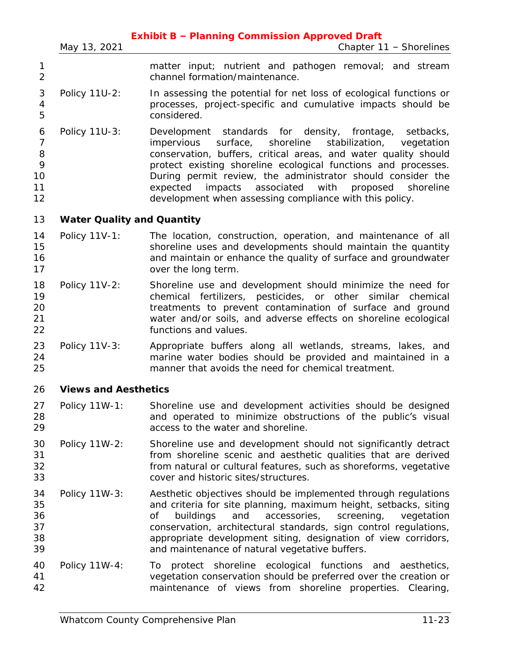| matter input; nutrient and pathogen removal; and stream<br>channel formation/maintenance.<br>Policy 11U-2:<br>In assessing the potential for net loss of ecological functions or<br>processes, project-specific and cumulative impacts should be<br>considered.<br>Policy 11U-3:<br>Development standards for density, frontage, setbacks,<br>surface, shoreline<br>stabilization,<br>impervious<br>conservation, buffers, critical areas, and water quality should<br>protect existing shoreline ecological functions and processes.<br>During permit review, the administrator should consider the<br>expected impacts associated with<br>development when assessing compliance with this policy.<br><b>Water Quality and Quantity</b><br>Policy 11V-1:<br>The location, construction, operation, and maintenance of all<br>shoreline uses and developments should maintain the quantity<br>and maintain or enhance the quality of surface and groundwater<br>over the long term.<br>Policy 11V-2:<br>Shoreline use and development should minimize the need for<br>chemical fertilizers, pesticides, or other similar chemical<br>treatments to prevent contamination of surface and ground<br>water and/or soils, and adverse effects on shoreline ecological<br>functions and values.<br>Policy 11V-3:<br>Appropriate buffers along all wetlands, streams, lakes, and<br>marine water bodies should be provided and maintained in a<br>manner that avoids the need for chemical treatment.<br><b>Views and Aesthetics</b><br>Policy 11W-1:<br>Shoreline use and development activities should be designed<br>and operated to minimize obstructions of the public's visual<br>access to the water and shoreline.<br>Policy 11W-2:<br>Shoreline use and development should not significantly detract<br>from shoreline scenic and aesthetic qualities that are derived<br>from natural or cultural features, such as shoreforms, vegetative<br>cover and historic sites/structures.<br>Aesthetic objectives should be implemented through regulations<br>Policy 11W-3:<br>and criteria for site planning, maximum height, setbacks, siting<br>accessories,<br>Οf<br>buildings<br>and<br>screening,<br>conservation, architectural standards, sign control regulations, | Chapter 11 - Shorelines          |
|---------------------------------------------------------------------------------------------------------------------------------------------------------------------------------------------------------------------------------------------------------------------------------------------------------------------------------------------------------------------------------------------------------------------------------------------------------------------------------------------------------------------------------------------------------------------------------------------------------------------------------------------------------------------------------------------------------------------------------------------------------------------------------------------------------------------------------------------------------------------------------------------------------------------------------------------------------------------------------------------------------------------------------------------------------------------------------------------------------------------------------------------------------------------------------------------------------------------------------------------------------------------------------------------------------------------------------------------------------------------------------------------------------------------------------------------------------------------------------------------------------------------------------------------------------------------------------------------------------------------------------------------------------------------------------------------------------------------------------------------------------------------------------------------------------------------------------------------------------------------------------------------------------------------------------------------------------------------------------------------------------------------------------------------------------------------------------------------------------------------------------------------------------------------------------------------------------------------------------------------------------------------------|----------------------------------|
|                                                                                                                                                                                                                                                                                                                                                                                                                                                                                                                                                                                                                                                                                                                                                                                                                                                                                                                                                                                                                                                                                                                                                                                                                                                                                                                                                                                                                                                                                                                                                                                                                                                                                                                                                                                                                                                                                                                                                                                                                                                                                                                                                                                                                                                                           |                                  |
|                                                                                                                                                                                                                                                                                                                                                                                                                                                                                                                                                                                                                                                                                                                                                                                                                                                                                                                                                                                                                                                                                                                                                                                                                                                                                                                                                                                                                                                                                                                                                                                                                                                                                                                                                                                                                                                                                                                                                                                                                                                                                                                                                                                                                                                                           |                                  |
|                                                                                                                                                                                                                                                                                                                                                                                                                                                                                                                                                                                                                                                                                                                                                                                                                                                                                                                                                                                                                                                                                                                                                                                                                                                                                                                                                                                                                                                                                                                                                                                                                                                                                                                                                                                                                                                                                                                                                                                                                                                                                                                                                                                                                                                                           | vegetation<br>proposed shoreline |
|                                                                                                                                                                                                                                                                                                                                                                                                                                                                                                                                                                                                                                                                                                                                                                                                                                                                                                                                                                                                                                                                                                                                                                                                                                                                                                                                                                                                                                                                                                                                                                                                                                                                                                                                                                                                                                                                                                                                                                                                                                                                                                                                                                                                                                                                           |                                  |
|                                                                                                                                                                                                                                                                                                                                                                                                                                                                                                                                                                                                                                                                                                                                                                                                                                                                                                                                                                                                                                                                                                                                                                                                                                                                                                                                                                                                                                                                                                                                                                                                                                                                                                                                                                                                                                                                                                                                                                                                                                                                                                                                                                                                                                                                           |                                  |
|                                                                                                                                                                                                                                                                                                                                                                                                                                                                                                                                                                                                                                                                                                                                                                                                                                                                                                                                                                                                                                                                                                                                                                                                                                                                                                                                                                                                                                                                                                                                                                                                                                                                                                                                                                                                                                                                                                                                                                                                                                                                                                                                                                                                                                                                           |                                  |
|                                                                                                                                                                                                                                                                                                                                                                                                                                                                                                                                                                                                                                                                                                                                                                                                                                                                                                                                                                                                                                                                                                                                                                                                                                                                                                                                                                                                                                                                                                                                                                                                                                                                                                                                                                                                                                                                                                                                                                                                                                                                                                                                                                                                                                                                           |                                  |
|                                                                                                                                                                                                                                                                                                                                                                                                                                                                                                                                                                                                                                                                                                                                                                                                                                                                                                                                                                                                                                                                                                                                                                                                                                                                                                                                                                                                                                                                                                                                                                                                                                                                                                                                                                                                                                                                                                                                                                                                                                                                                                                                                                                                                                                                           |                                  |
|                                                                                                                                                                                                                                                                                                                                                                                                                                                                                                                                                                                                                                                                                                                                                                                                                                                                                                                                                                                                                                                                                                                                                                                                                                                                                                                                                                                                                                                                                                                                                                                                                                                                                                                                                                                                                                                                                                                                                                                                                                                                                                                                                                                                                                                                           |                                  |
|                                                                                                                                                                                                                                                                                                                                                                                                                                                                                                                                                                                                                                                                                                                                                                                                                                                                                                                                                                                                                                                                                                                                                                                                                                                                                                                                                                                                                                                                                                                                                                                                                                                                                                                                                                                                                                                                                                                                                                                                                                                                                                                                                                                                                                                                           |                                  |
| appropriate development siting, designation of view corridors,<br>and maintenance of natural vegetative buffers.                                                                                                                                                                                                                                                                                                                                                                                                                                                                                                                                                                                                                                                                                                                                                                                                                                                                                                                                                                                                                                                                                                                                                                                                                                                                                                                                                                                                                                                                                                                                                                                                                                                                                                                                                                                                                                                                                                                                                                                                                                                                                                                                                          | vegetation                       |
| Policy 11W-4:<br>protect shoreline ecological functions and aesthetics,<br>To<br>vegetation conservation should be preferred over the creation or<br>maintenance of views from shoreline properties. Clearing,                                                                                                                                                                                                                                                                                                                                                                                                                                                                                                                                                                                                                                                                                                                                                                                                                                                                                                                                                                                                                                                                                                                                                                                                                                                                                                                                                                                                                                                                                                                                                                                                                                                                                                                                                                                                                                                                                                                                                                                                                                                            |                                  |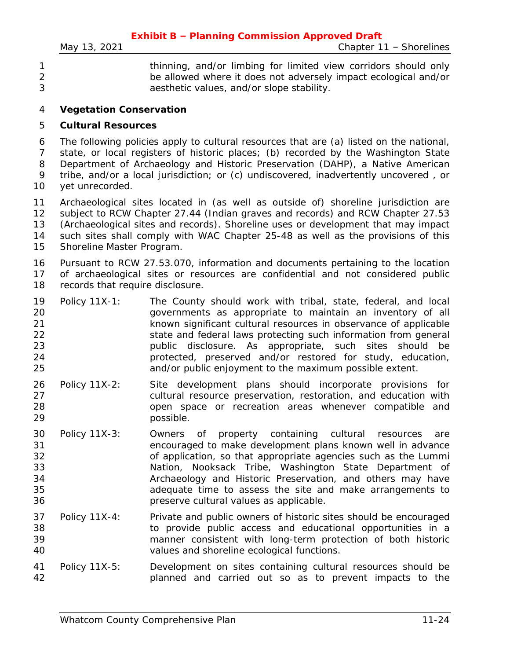| thinning, and/or limbing for limited view corridors should only |
|-----------------------------------------------------------------|
| be allowed where it does not adversely impact ecological and/or |
| aesthetic values, and/or slope stability.                       |

#### **Vegetation Conservation**

#### **Cultural Resources**

 The following policies apply to cultural resources that are (a) listed on the national, state, or local registers of historic places; (b) recorded by the Washington State Department of Archaeology and Historic Preservation (DAHP), a Native American tribe, and/or a local jurisdiction; or (c) undiscovered, inadvertently uncovered , or yet unrecorded.

 Archaeological sites located in (as well as outside of) shoreline jurisdiction are subject to RCW Chapter 27.44 (Indian graves and records) and RCW Chapter 27.53 (Archaeological sites and records). Shoreline uses or development that may impact such sites shall comply with WAC Chapter 25-48 as well as the provisions of this Shoreline Master Program.

 Pursuant to RCW 27.53.070, information and documents pertaining to the location of archaeological sites or resources are confidential and not considered public 18 records that require disclosure.

|    | 19 Policy 11X-1: | The County should work with tribal, state, federal, and local    |
|----|------------------|------------------------------------------------------------------|
| 20 |                  | governments as appropriate to maintain an inventory of all       |
| 21 |                  | known significant cultural resources in observance of applicable |
| 22 |                  | state and federal laws protecting such information from general  |
| 23 |                  | public disclosure. As appropriate, such sites should be          |
| 24 |                  | protected, preserved and/or restored for study, education,       |
| 25 |                  | and/or public enjoyment to the maximum possible extent.          |

- Policy 11X-2: Site development plans should incorporate provisions for cultural resource preservation, restoration, and education with open space or recreation areas whenever compatible and possible.
- Policy 11X-3: Owners of property containing cultural resources are encouraged to make development plans known well in advance of application, so that appropriate agencies such as the Lummi Nation, Nooksack Tribe, Washington State Department of Archaeology and Historic Preservation, and others may have adequate time to assess the site and make arrangements to preserve cultural values as applicable.
- Policy 11X-4: Private and public owners of historic sites should be encouraged to provide public access and educational opportunities in a manner consistent with long-term protection of both historic values and shoreline ecological functions.
- Policy 11X-5: Development on sites containing cultural resources should be planned and carried out so as to prevent impacts to the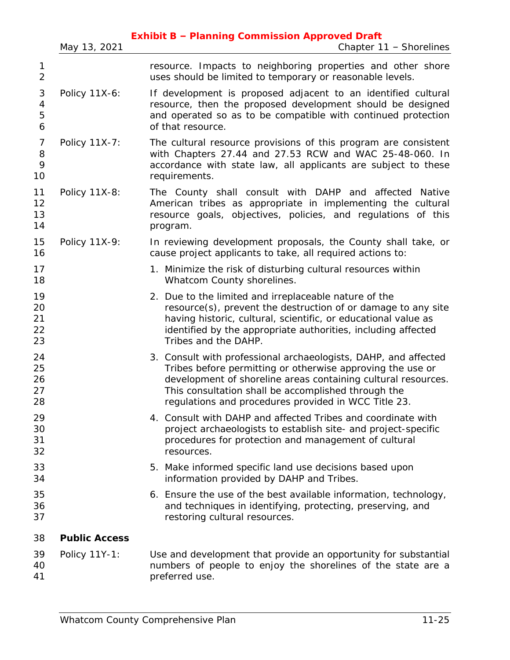|                                |                      | <b>Exhibit B - Planning Commission Approved Draft</b>                                                                                                                                                                                                                                                         |
|--------------------------------|----------------------|---------------------------------------------------------------------------------------------------------------------------------------------------------------------------------------------------------------------------------------------------------------------------------------------------------------|
|                                | May 13, 2021         | Chapter 11 - Shorelines                                                                                                                                                                                                                                                                                       |
| 1<br>$\overline{2}$            |                      | resource. Impacts to neighboring properties and other shore<br>uses should be limited to temporary or reasonable levels.                                                                                                                                                                                      |
| $\mathfrak 3$<br>4<br>5<br>6   | Policy 11X-6:        | If development is proposed adjacent to an identified cultural<br>resource, then the proposed development should be designed<br>and operated so as to be compatible with continued protection<br>of that resource.                                                                                             |
| $\overline{7}$<br>8<br>9<br>10 | Policy 11X-7:        | The cultural resource provisions of this program are consistent<br>with Chapters 27.44 and 27.53 RCW and WAC 25-48-060. In<br>accordance with state law, all applicants are subject to these<br>requirements.                                                                                                 |
| 11<br>12<br>13<br>14           | Policy 11X-8:        | The County shall consult with DAHP and affected Native<br>American tribes as appropriate in implementing the cultural<br>resource goals, objectives, policies, and regulations of this<br>program.                                                                                                            |
| 15<br>16                       | Policy 11X-9:        | In reviewing development proposals, the County shall take, or<br>cause project applicants to take, all required actions to:                                                                                                                                                                                   |
| 17<br>18                       |                      | 1. Minimize the risk of disturbing cultural resources within<br>Whatcom County shorelines.                                                                                                                                                                                                                    |
| 19<br>20<br>21<br>22<br>23     |                      | 2. Due to the limited and irreplaceable nature of the<br>resource(s), prevent the destruction of or damage to any site<br>having historic, cultural, scientific, or educational value as<br>identified by the appropriate authorities, including affected<br>Tribes and the DAHP.                             |
| 24<br>25<br>26<br>27<br>28     |                      | 3. Consult with professional archaeologists, DAHP, and affected<br>Tribes before permitting or otherwise approving the use or<br>development of shoreline areas containing cultural resources.<br>This consultation shall be accomplished through the<br>regulations and procedures provided in WCC Title 23. |
| 29<br>30<br>31<br>32           |                      | 4. Consult with DAHP and affected Tribes and coordinate with<br>project archaeologists to establish site- and project-specific<br>procedures for protection and management of cultural<br>resources.                                                                                                          |
| 33<br>34                       |                      | 5. Make informed specific land use decisions based upon<br>information provided by DAHP and Tribes.                                                                                                                                                                                                           |
| 35<br>36<br>37                 |                      | 6. Ensure the use of the best available information, technology,<br>and techniques in identifying, protecting, preserving, and<br>restoring cultural resources.                                                                                                                                               |
| 38                             | <b>Public Access</b> |                                                                                                                                                                                                                                                                                                               |
| 39<br>40<br>41                 | Policy 11Y-1:        | Use and development that provide an opportunity for substantial<br>numbers of people to enjoy the shorelines of the state are a<br>preferred use.                                                                                                                                                             |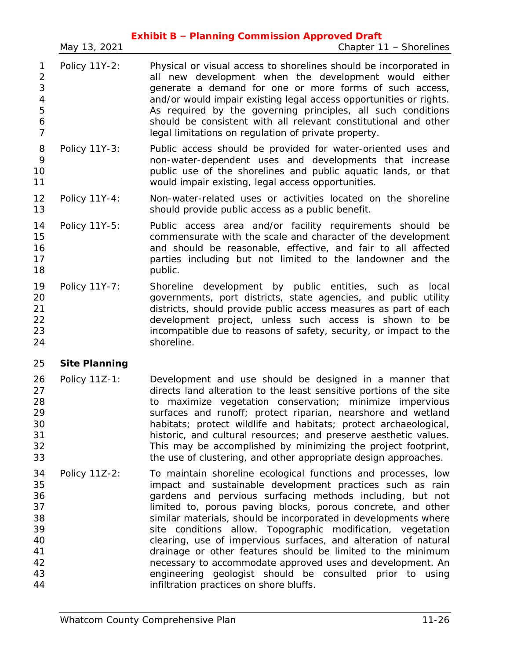|                                                                        | May 13, 2021         | <b>Exhibit B - Planning Commission Approved Draft</b><br>Chapter 11 - Shorelines                                                                                                                                                                                                                                                                                                                                                                                                                                                                                                                                                                                                                 |
|------------------------------------------------------------------------|----------------------|--------------------------------------------------------------------------------------------------------------------------------------------------------------------------------------------------------------------------------------------------------------------------------------------------------------------------------------------------------------------------------------------------------------------------------------------------------------------------------------------------------------------------------------------------------------------------------------------------------------------------------------------------------------------------------------------------|
| 1<br>$\overline{2}$<br>3<br>$\overline{4}$<br>5<br>6<br>$\overline{7}$ | Policy 11Y-2:        | Physical or visual access to shorelines should be incorporated in<br>all new development when the development would either<br>generate a demand for one or more forms of such access,<br>and/or would impair existing legal access opportunities or rights.<br>As required by the governing principles, all such conditions<br>should be consistent with all relevant constitutional and other<br>legal limitations on regulation of private property.                                                                                                                                                                                                                                           |
| 8<br>9<br>10<br>11                                                     | Policy 11Y-3:        | Public access should be provided for water-oriented uses and<br>non-water-dependent uses and developments that increase<br>public use of the shorelines and public aquatic lands, or that<br>would impair existing, legal access opportunities.                                                                                                                                                                                                                                                                                                                                                                                                                                                  |
| 12<br>13                                                               | Policy 11Y-4:        | Non-water-related uses or activities located on the shoreline<br>should provide public access as a public benefit.                                                                                                                                                                                                                                                                                                                                                                                                                                                                                                                                                                               |
| 14<br>15<br>16<br>17<br>18                                             | Policy 11Y-5:        | Public access area and/or facility requirements should be<br>commensurate with the scale and character of the development<br>and should be reasonable, effective, and fair to all affected<br>parties including but not limited to the landowner and the<br>public.                                                                                                                                                                                                                                                                                                                                                                                                                              |
| 19<br>20<br>21<br>22<br>23<br>24                                       | Policy 11Y-7:        | Shoreline development by public entities, such as<br>local<br>governments, port districts, state agencies, and public utility<br>districts, should provide public access measures as part of each<br>development project, unless such access is shown to be<br>incompatible due to reasons of safety, security, or impact to the<br>shoreline.                                                                                                                                                                                                                                                                                                                                                   |
| 25                                                                     | <b>Site Planning</b> |                                                                                                                                                                                                                                                                                                                                                                                                                                                                                                                                                                                                                                                                                                  |
| 26<br>27<br>28<br>29<br>30<br>31<br>32<br>33                           | Policy 11Z-1:        | Development and use should be designed in a manner that<br>directs land alteration to the least sensitive portions of the site<br>to maximize vegetation conservation; minimize impervious<br>surfaces and runoff; protect riparian, nearshore and wetland<br>habitats; protect wildlife and habitats; protect archaeological,<br>historic, and cultural resources; and preserve aesthetic values.<br>This may be accomplished by minimizing the project footprint,<br>the use of clustering, and other appropriate design approaches.                                                                                                                                                           |
| 34<br>35<br>36<br>37<br>38<br>39<br>40<br>41<br>42<br>43<br>44         | Policy 11Z-2:        | To maintain shoreline ecological functions and processes, low<br>impact and sustainable development practices such as rain<br>gardens and pervious surfacing methods including, but not<br>limited to, porous paving blocks, porous concrete, and other<br>similar materials, should be incorporated in developments where<br>site conditions allow. Topographic modification, vegetation<br>clearing, use of impervious surfaces, and alteration of natural<br>drainage or other features should be limited to the minimum<br>necessary to accommodate approved uses and development. An<br>engineering geologist should be consulted prior to using<br>infiltration practices on shore bluffs. |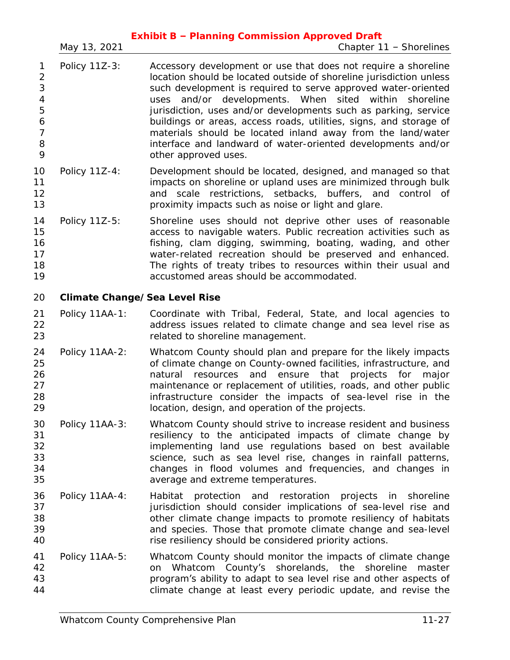|                                                                               | May 13, 2021                         | <b>Exhibit B - Planning Commission Approved Draft</b><br>Chapter 11 - Shorelines                                                                                                                                                                                                                                                                                                                                                                                                                                                                                |
|-------------------------------------------------------------------------------|--------------------------------------|-----------------------------------------------------------------------------------------------------------------------------------------------------------------------------------------------------------------------------------------------------------------------------------------------------------------------------------------------------------------------------------------------------------------------------------------------------------------------------------------------------------------------------------------------------------------|
| 1<br>$\mathbf 2$<br>3<br>$\overline{4}$<br>5<br>6<br>$\overline{7}$<br>8<br>9 | Policy 11Z-3:                        | Accessory development or use that does not require a shoreline<br>location should be located outside of shoreline jurisdiction unless<br>such development is required to serve approved water-oriented<br>uses and/or developments. When sited within shoreline<br>jurisdiction, uses and/or developments such as parking, service<br>buildings or areas, access roads, utilities, signs, and storage of<br>materials should be located inland away from the land/water<br>interface and landward of water-oriented developments and/or<br>other approved uses. |
| 10<br>11<br>12<br>13                                                          | Policy 11Z-4:                        | Development should be located, designed, and managed so that<br>impacts on shoreline or upland uses are minimized through bulk<br>and scale restrictions, setbacks, buffers, and control of<br>proximity impacts such as noise or light and glare.                                                                                                                                                                                                                                                                                                              |
| 14<br>15<br>16<br>17<br>18<br>19                                              | Policy 11Z-5:                        | Shoreline uses should not deprive other uses of reasonable<br>access to navigable waters. Public recreation activities such as<br>fishing, clam digging, swimming, boating, wading, and other<br>water-related recreation should be preserved and enhanced.<br>The rights of treaty tribes to resources within their usual and<br>accustomed areas should be accommodated.                                                                                                                                                                                      |
| 20                                                                            | <b>Climate Change/Sea Level Rise</b> |                                                                                                                                                                                                                                                                                                                                                                                                                                                                                                                                                                 |
| 21<br>22<br>23                                                                | Policy 11AA-1:                       | Coordinate with Tribal, Federal, State, and local agencies to<br>address issues related to climate change and sea level rise as<br>related to shoreline management.                                                                                                                                                                                                                                                                                                                                                                                             |
| 24<br>25<br>26<br>27<br>28<br>29                                              | Policy 11AA-2:                       | Whatcom County should plan and prepare for the likely impacts<br>of climate change on County-owned facilities, infrastructure, and<br>resources<br>and ensure that<br>projects for<br>natural<br>major<br>maintenance or replacement of utilities, roads, and other public<br>infrastructure consider the impacts of sea-level rise in the<br>location, design, and operation of the projects.                                                                                                                                                                  |
| 30<br>31<br>32<br>33<br>34<br>35                                              | Policy 11AA-3:                       | Whatcom County should strive to increase resident and business<br>resiliency to the anticipated impacts of climate change by<br>implementing land use regulations based on best available<br>science, such as sea level rise, changes in rainfall patterns,<br>changes in flood volumes and frequencies, and changes in<br>average and extreme temperatures.                                                                                                                                                                                                    |
| 36<br>37<br>38<br>39<br>40                                                    | Policy 11AA-4:                       | protection and restoration projects<br>Habitat<br>shoreline<br>in.<br>jurisdiction should consider implications of sea-level rise and<br>other climate change impacts to promote resiliency of habitats<br>and species. Those that promote climate change and sea-level<br>rise resiliency should be considered priority actions.                                                                                                                                                                                                                               |
| 41<br>42<br>43<br>44                                                          | Policy 11AA-5:                       | Whatcom County should monitor the impacts of climate change<br>Whatcom County's shorelands, the shoreline<br>master<br>on<br>program's ability to adapt to sea level rise and other aspects of<br>climate change at least every periodic update, and revise the                                                                                                                                                                                                                                                                                                 |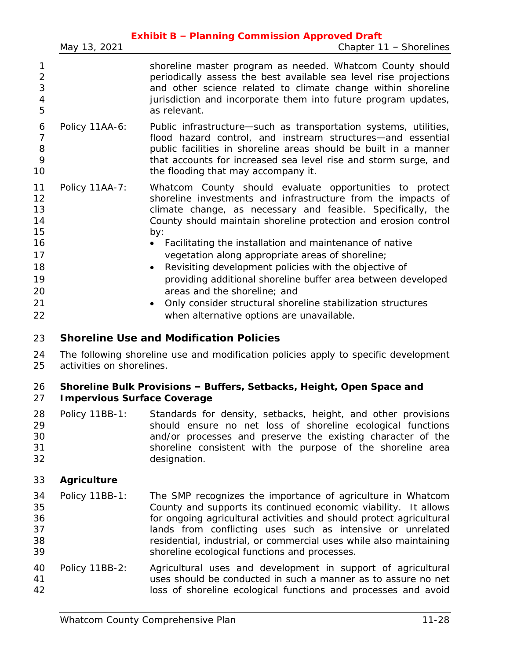|                | <b>Exhibit B - Planning Commission Approved Draft</b>                                                                                                                                                                                                                                                                                                                                                                                                                                                                                                                                                                                                              |
|----------------|--------------------------------------------------------------------------------------------------------------------------------------------------------------------------------------------------------------------------------------------------------------------------------------------------------------------------------------------------------------------------------------------------------------------------------------------------------------------------------------------------------------------------------------------------------------------------------------------------------------------------------------------------------------------|
| May 13, 2021   | Chapter 11 - Shorelines                                                                                                                                                                                                                                                                                                                                                                                                                                                                                                                                                                                                                                            |
|                | shoreline master program as needed. Whatcom County should<br>periodically assess the best available sea level rise projections<br>and other science related to climate change within shoreline<br>jurisdiction and incorporate them into future program updates,<br>as relevant.                                                                                                                                                                                                                                                                                                                                                                                   |
| Policy 11AA-6: | Public infrastructure—such as transportation systems, utilities,<br>flood hazard control, and instream structures—and essential<br>public facilities in shoreline areas should be built in a manner<br>that accounts for increased sea level rise and storm surge, and<br>the flooding that may accompany it.                                                                                                                                                                                                                                                                                                                                                      |
| Policy 11AA-7: | Whatcom County should evaluate opportunities to protect<br>shoreline investments and infrastructure from the impacts of<br>climate change, as necessary and feasible. Specifically, the<br>County should maintain shoreline protection and erosion control<br>by:<br>Facilitating the installation and maintenance of native<br>vegetation along appropriate areas of shoreline;<br>Revisiting development policies with the objective of<br>$\bullet$<br>providing additional shoreline buffer area between developed<br>areas and the shoreline; and<br>Only consider structural shoreline stabilization structures<br>when alternative options are unavailable. |
|                |                                                                                                                                                                                                                                                                                                                                                                                                                                                                                                                                                                                                                                                                    |

# **Shoreline Use and Modification Policies**

 The following shoreline use and modification policies apply to specific development activities on shorelines.

# **Shoreline Bulk Provisions – Buffers, Setbacks, Height, Open Space and**

# **Impervious Surface Coverage**

|    | 28 Policy 11BB-1: | Standards for density, setbacks, height, and other provisions |
|----|-------------------|---------------------------------------------------------------|
| 29 |                   | should ensure no net loss of shoreline ecological functions   |
| 30 |                   | and/or processes and preserve the existing character of the   |
| 31 |                   | shoreline consistent with the purpose of the shoreline area   |
| 32 |                   | designation.                                                  |

# **Agriculture**

|    | 34 Policy 11BB-1: | The SMP recognizes the importance of agriculture in Whatcom         |
|----|-------------------|---------------------------------------------------------------------|
| 35 |                   | County and supports its continued economic viability. It allows     |
| 36 |                   | for ongoing agricultural activities and should protect agricultural |
| 37 |                   | lands from conflicting uses such as intensive or unrelated          |
| 38 |                   | residential, industrial, or commercial uses while also maintaining  |
| 39 |                   | shoreline ecological functions and processes.                       |

 Policy 11BB-2: Agricultural uses and development in support of agricultural uses should be conducted in such a manner as to assure no net loss of shoreline ecological functions and processes and avoid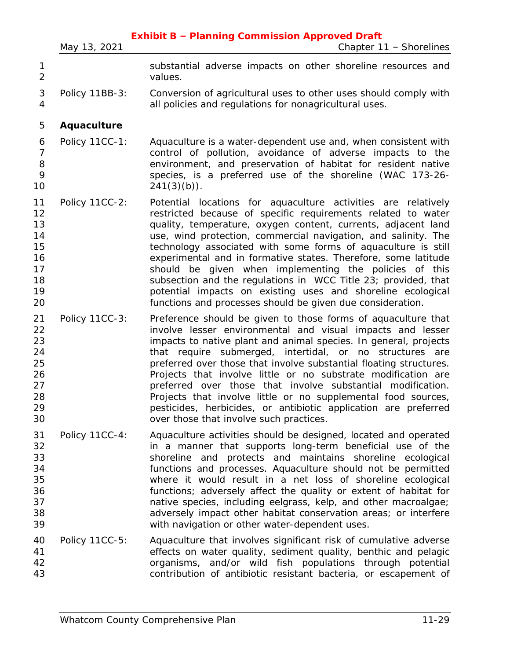|                                                          | May 13, 2021   | <b>Exhibit B - Planning Commission Approved Draft</b><br>Chapter 11 - Shorelines                                                                                                                                                                                                                                                                                                                                                                                                                                                                                                                                                                             |
|----------------------------------------------------------|----------------|--------------------------------------------------------------------------------------------------------------------------------------------------------------------------------------------------------------------------------------------------------------------------------------------------------------------------------------------------------------------------------------------------------------------------------------------------------------------------------------------------------------------------------------------------------------------------------------------------------------------------------------------------------------|
| 1<br>$\overline{2}$                                      |                | substantial adverse impacts on other shoreline resources and<br>values.                                                                                                                                                                                                                                                                                                                                                                                                                                                                                                                                                                                      |
| 3<br>$\overline{4}$                                      | Policy 11BB-3: | Conversion of agricultural uses to other uses should comply with<br>all policies and regulations for nonagricultural uses.                                                                                                                                                                                                                                                                                                                                                                                                                                                                                                                                   |
| 5                                                        | Aquaculture    |                                                                                                                                                                                                                                                                                                                                                                                                                                                                                                                                                                                                                                                              |
| 6<br>$\overline{7}$<br>8<br>9<br>10                      | Policy 11CC-1: | Aquaculture is a water-dependent use and, when consistent with<br>control of pollution, avoidance of adverse impacts to the<br>environment, and preservation of habitat for resident native<br>species, is a preferred use of the shoreline (WAC 173-26-<br>$241(3)(b)$ .                                                                                                                                                                                                                                                                                                                                                                                    |
| 11<br>12<br>13<br>14<br>15<br>16<br>17<br>18<br>19<br>20 | Policy 11CC-2: | Potential locations for aquaculture activities are relatively<br>restricted because of specific requirements related to water<br>quality, temperature, oxygen content, currents, adjacent land<br>use, wind protection, commercial navigation, and salinity. The<br>technology associated with some forms of aquaculture is still<br>experimental and in formative states. Therefore, some latitude<br>should be given when implementing the policies of this<br>subsection and the regulations in WCC Title 23; provided, that<br>potential impacts on existing uses and shoreline ecological<br>functions and processes should be given due consideration. |
| 21<br>22<br>23<br>24<br>25<br>26<br>27<br>28<br>29<br>30 | Policy 11CC-3: | Preference should be given to those forms of aquaculture that<br>involve lesser environmental and visual impacts and lesser<br>impacts to native plant and animal species. In general, projects<br>that require submerged, intertidal, or no structures are<br>preferred over those that involve substantial floating structures.<br>Projects that involve little or no substrate modification are<br>preferred over those that involve substantial modification.<br>Projects that involve little or no supplemental food sources,<br>pesticides, herbicides, or antibiotic application are preferred<br>over those that involve such practices.             |
| 31<br>32<br>33<br>34<br>35<br>36<br>37<br>38<br>39       | Policy 11CC-4: | Aquaculture activities should be designed, located and operated<br>in a manner that supports long-term beneficial use of the<br>shoreline and protects and maintains shoreline ecological<br>functions and processes. Aquaculture should not be permitted<br>where it would result in a net loss of shoreline ecological<br>functions; adversely affect the quality or extent of habitat for<br>native species, including eelgrass, kelp, and other macroalgae;<br>adversely impact other habitat conservation areas; or interfere<br>with navigation or other water-dependent uses.                                                                         |
| 40<br>41<br>42<br>43                                     | Policy 11CC-5: | Aquaculture that involves significant risk of cumulative adverse<br>effects on water quality, sediment quality, benthic and pelagic<br>organisms, and/or wild fish populations through potential<br>contribution of antibiotic resistant bacteria, or escapement of                                                                                                                                                                                                                                                                                                                                                                                          |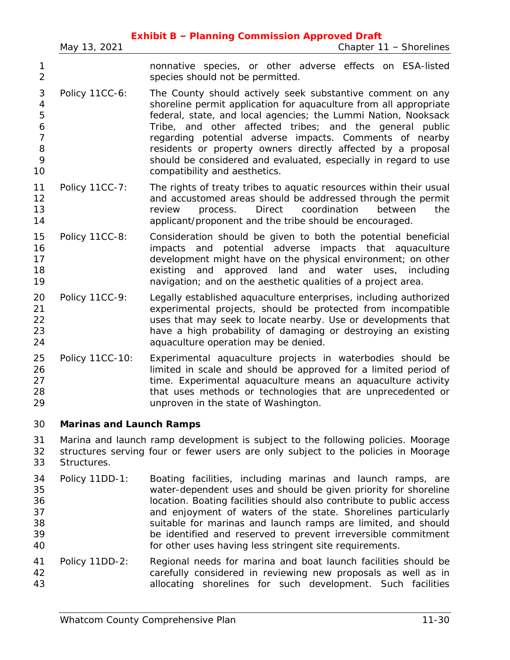|                                                    |                                 | <b>Exhibit B - Planning Commission Approved Draft</b>                                                                                                                                                                                                                                                                                                                                                                                                                                        |
|----------------------------------------------------|---------------------------------|----------------------------------------------------------------------------------------------------------------------------------------------------------------------------------------------------------------------------------------------------------------------------------------------------------------------------------------------------------------------------------------------------------------------------------------------------------------------------------------------|
|                                                    | May 13, 2021                    | Chapter 11 - Shorelines                                                                                                                                                                                                                                                                                                                                                                                                                                                                      |
| 1<br>$\overline{2}$                                |                                 | nonnative species, or other adverse effects on ESA-listed<br>species should not be permitted.                                                                                                                                                                                                                                                                                                                                                                                                |
| 3<br>4<br>5<br>6<br>$\overline{7}$<br>8<br>9<br>10 | Policy 11CC-6:                  | The County should actively seek substantive comment on any<br>shoreline permit application for aquaculture from all appropriate<br>federal, state, and local agencies; the Lummi Nation, Nooksack<br>Tribe, and other affected tribes; and the general public<br>regarding potential adverse impacts. Comments of nearby<br>residents or property owners directly affected by a proposal<br>should be considered and evaluated, especially in regard to use<br>compatibility and aesthetics. |
| 11<br>12<br>13<br>14                               | Policy 11CC-7:                  | The rights of treaty tribes to aquatic resources within their usual<br>and accustomed areas should be addressed through the permit<br>Direct<br>coordination<br>process.<br>between<br>the<br>review<br>applicant/proponent and the tribe should be encouraged.                                                                                                                                                                                                                              |
| 15<br>16<br>17<br>18<br>19                         | Policy 11CC-8:                  | Consideration should be given to both the potential beneficial<br>potential adverse impacts that aquaculture<br>and<br>impacts<br>development might have on the physical environment; on other<br>approved land and water uses,<br>existing<br>and<br>including<br>navigation; and on the aesthetic qualities of a project area.                                                                                                                                                             |
| 20<br>21<br>22<br>23<br>24                         | Policy 11CC-9:                  | Legally established aquaculture enterprises, including authorized<br>experimental projects, should be protected from incompatible<br>uses that may seek to locate nearby. Use or developments that<br>have a high probability of damaging or destroying an existing<br>aquaculture operation may be denied.                                                                                                                                                                                  |
| 25<br>26<br>27<br>28<br>29                         | Policy 11CC-10:                 | Experimental aquaculture projects in waterbodies should be<br>limited in scale and should be approved for a limited period of<br>time. Experimental aquaculture means an aquaculture activity<br>that uses methods or technologies that are unprecedented or<br>unproven in the state of Washington.                                                                                                                                                                                         |
| 30                                                 | <b>Marinas and Launch Ramps</b> |                                                                                                                                                                                                                                                                                                                                                                                                                                                                                              |
| 31<br>32<br>33                                     | Structures.                     | Marina and launch ramp development is subject to the following policies. Moorage<br>structures serving four or fewer users are only subject to the policies in Moorage                                                                                                                                                                                                                                                                                                                       |
| 34<br>35<br>36<br>37<br>38<br>39<br>40             | Policy 11DD-1:                  | Boating facilities, including marinas and launch ramps, are<br>water-dependent uses and should be given priority for shoreline<br>location. Boating facilities should also contribute to public access<br>and enjoyment of waters of the state. Shorelines particularly<br>suitable for marinas and launch ramps are limited, and should<br>be identified and reserved to prevent irreversible commitment<br>for other uses having less stringent site requirements.                         |
| 41<br>42<br>43                                     | Policy 11DD-2:                  | Regional needs for marina and boat launch facilities should be<br>carefully considered in reviewing new proposals as well as in<br>allocating shorelines for such development. Such facilities                                                                                                                                                                                                                                                                                               |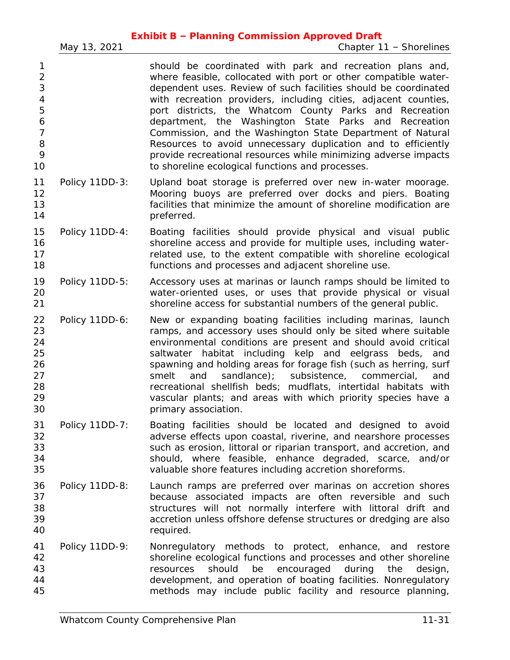|                                                                           | May 13, 2021   | <b>Exhibit B - Planning Commission Approved Draft</b><br>Chapter 11 - Shorelines                                                                                                                                                                                                                                                                                                                                                                                                                                                                                                                                                             |
|---------------------------------------------------------------------------|----------------|----------------------------------------------------------------------------------------------------------------------------------------------------------------------------------------------------------------------------------------------------------------------------------------------------------------------------------------------------------------------------------------------------------------------------------------------------------------------------------------------------------------------------------------------------------------------------------------------------------------------------------------------|
| 1<br>$\overline{2}$<br>3<br>4<br>5<br>6<br>$\overline{7}$<br>8<br>9<br>10 |                | should be coordinated with park and recreation plans and,<br>where feasible, collocated with port or other compatible water-<br>dependent uses. Review of such facilities should be coordinated<br>with recreation providers, including cities, adjacent counties,<br>port districts, the Whatcom County Parks and Recreation<br>department, the Washington State Parks and Recreation<br>Commission, and the Washington State Department of Natural<br>Resources to avoid unnecessary duplication and to efficiently<br>provide recreational resources while minimizing adverse impacts<br>to shoreline ecological functions and processes. |
| 11<br>12<br>13<br>14                                                      | Policy 11DD-3: | Upland boat storage is preferred over new in-water moorage.<br>Mooring buoys are preferred over docks and piers. Boating<br>facilities that minimize the amount of shoreline modification are<br>preferred.                                                                                                                                                                                                                                                                                                                                                                                                                                  |
| 15<br>16<br>17<br>18                                                      | Policy 11DD-4: | Boating facilities should provide physical and visual public<br>shoreline access and provide for multiple uses, including water-<br>related use, to the extent compatible with shoreline ecological<br>functions and processes and adjacent shoreline use.                                                                                                                                                                                                                                                                                                                                                                                   |
| 19<br>20<br>21                                                            | Policy 11DD-5: | Accessory uses at marinas or launch ramps should be limited to<br>water-oriented uses, or uses that provide physical or visual<br>shoreline access for substantial numbers of the general public.                                                                                                                                                                                                                                                                                                                                                                                                                                            |
| 22<br>23<br>24<br>25<br>26<br>27<br>28<br>29<br>30                        | Policy 11DD-6: | New or expanding boating facilities including marinas, launch<br>ramps, and accessory uses should only be sited where suitable<br>environmental conditions are present and should avoid critical<br>saltwater habitat including kelp and eelgrass beds,<br>and<br>spawning and holding areas for forage fish (such as herring, surf<br>sandlance);<br>subsistence, commercial,<br>smelt<br>and<br>and<br>recreational shellfish beds; mudflats, intertidal habitats with<br>vascular plants; and areas with which priority species have a<br>primary association.                                                                            |
| 31<br>32<br>33<br>34<br>35                                                | Policy 11DD-7: | Boating facilities should be located and designed to avoid<br>adverse effects upon coastal, riverine, and nearshore processes<br>such as erosion, littoral or riparian transport, and accretion, and<br>should, where feasible, enhance degraded, scarce, and/or<br>valuable shore features including accretion shoreforms.                                                                                                                                                                                                                                                                                                                  |
| 36<br>37<br>38<br>39<br>40                                                | Policy 11DD-8: | Launch ramps are preferred over marinas on accretion shores<br>because associated impacts are often reversible and such<br>structures will not normally interfere with littoral drift and<br>accretion unless offshore defense structures or dredging are also<br>required.                                                                                                                                                                                                                                                                                                                                                                  |
| 41<br>42<br>43<br>44<br>45                                                | Policy 11DD-9: | Nonregulatory methods to protect, enhance, and restore<br>shoreline ecological functions and processes and other shoreline<br>should<br>be<br>encouraged<br>during<br>resources<br>the<br>design,<br>development, and operation of boating facilities. Nonregulatory<br>methods may include public facility and resource planning,                                                                                                                                                                                                                                                                                                           |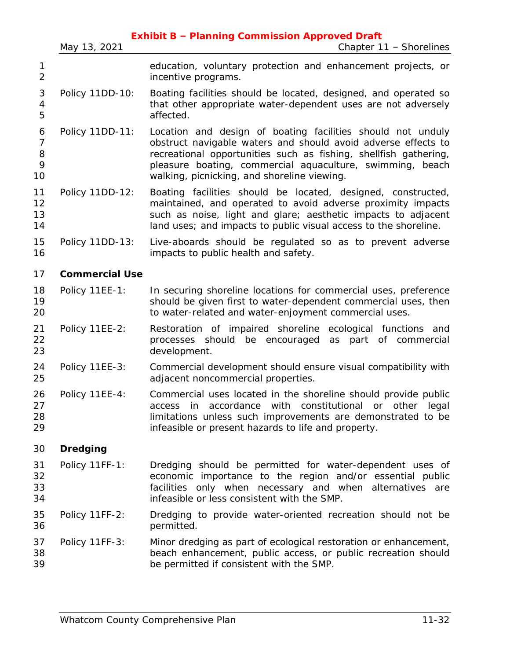|                                     |                       | <b>Exhibit B - Planning Commission Approved Draft</b>                                                                                                                                                                                                                                                        |
|-------------------------------------|-----------------------|--------------------------------------------------------------------------------------------------------------------------------------------------------------------------------------------------------------------------------------------------------------------------------------------------------------|
|                                     | May 13, 2021          | Chapter 11 - Shorelines                                                                                                                                                                                                                                                                                      |
| 1<br>$\overline{2}$                 |                       | education, voluntary protection and enhancement projects, or<br>incentive programs.                                                                                                                                                                                                                          |
| 3<br>4<br>5                         | Policy 11DD-10:       | Boating facilities should be located, designed, and operated so<br>that other appropriate water-dependent uses are not adversely<br>affected.                                                                                                                                                                |
| 6<br>$\overline{7}$<br>8<br>9<br>10 | Policy 11DD-11:       | Location and design of boating facilities should not unduly<br>obstruct navigable waters and should avoid adverse effects to<br>recreational opportunities such as fishing, shellfish gathering,<br>pleasure boating, commercial aquaculture, swimming, beach<br>walking, picnicking, and shoreline viewing. |
| 11<br>12<br>13<br>14                | Policy 11DD-12:       | Boating facilities should be located, designed, constructed,<br>maintained, and operated to avoid adverse proximity impacts<br>such as noise, light and glare; aesthetic impacts to adjacent<br>land uses; and impacts to public visual access to the shoreline.                                             |
| 15<br>16                            | Policy 11DD-13:       | Live-aboards should be regulated so as to prevent adverse<br>impacts to public health and safety.                                                                                                                                                                                                            |
| 17                                  | <b>Commercial Use</b> |                                                                                                                                                                                                                                                                                                              |
| 18<br>19<br>20                      | Policy 11EE-1:        | In securing shoreline locations for commercial uses, preference<br>should be given first to water-dependent commercial uses, then<br>to water-related and water-enjoyment commercial uses.                                                                                                                   |
| 21<br>22<br>23                      | Policy 11EE-2:        | Restoration of impaired shoreline ecological functions and<br>processes should be encouraged as part of commercial<br>development.                                                                                                                                                                           |
| 24<br>25                            | Policy 11EE-3:        | Commercial development should ensure visual compatibility with<br>adjacent noncommercial properties.                                                                                                                                                                                                         |
| 26<br>27<br>28<br>29                | Policy 11EE-4:        | Commercial uses located in the shoreline should provide public<br>access in accordance with constitutional or other legal<br>limitations unless such improvements are demonstrated to be<br>infeasible or present hazards to life and property.                                                              |
| 30                                  | <b>Dredging</b>       |                                                                                                                                                                                                                                                                                                              |
| 31<br>32<br>33<br>34                | Policy 11FF-1:        | Dredging should be permitted for water-dependent uses of<br>economic importance to the region and/or essential public<br>facilities only when necessary and when alternatives are<br>infeasible or less consistent with the SMP.                                                                             |
| 35<br>36                            | Policy 11FF-2:        | Dredging to provide water-oriented recreation should not be<br>permitted.                                                                                                                                                                                                                                    |
| 37<br>38<br>39                      | Policy 11FF-3:        | Minor dredging as part of ecological restoration or enhancement,<br>beach enhancement, public access, or public recreation should<br>be permitted if consistent with the SMP.                                                                                                                                |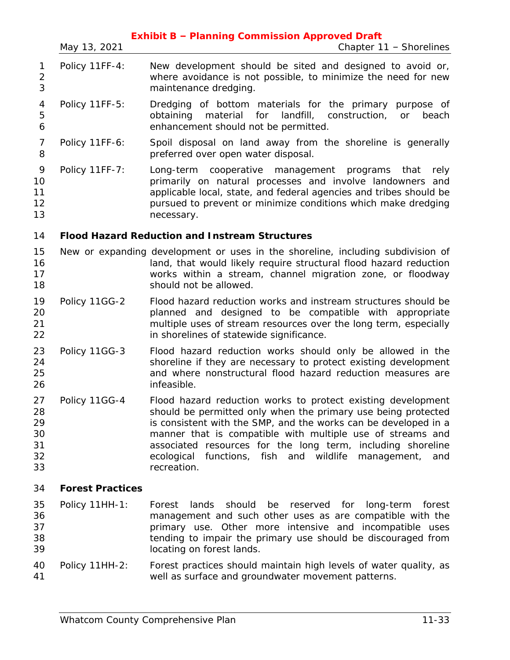|                                        | May 13, 2021            | <b>Exhibit B - Planning Commission Approved Draft</b><br>Chapter 11 - Shorelines                                                                                                                                                                                                                                                                                                                                 |
|----------------------------------------|-------------------------|------------------------------------------------------------------------------------------------------------------------------------------------------------------------------------------------------------------------------------------------------------------------------------------------------------------------------------------------------------------------------------------------------------------|
| 1<br>$\overline{2}$<br>3               | Policy 11FF-4:          | New development should be sited and designed to avoid or,<br>where avoidance is not possible, to minimize the need for new<br>maintenance dredging.                                                                                                                                                                                                                                                              |
| 4<br>5<br>6                            | Policy 11FF-5:          | Dredging of bottom materials for the primary purpose of<br>landfill,<br>obtaining<br>material<br>for<br>construction,<br>beach<br>or<br>enhancement should not be permitted.                                                                                                                                                                                                                                     |
| $\overline{7}$<br>8                    | Policy 11FF-6:          | Spoil disposal on land away from the shoreline is generally<br>preferred over open water disposal.                                                                                                                                                                                                                                                                                                               |
| 9<br>10<br>11<br>12<br>13              | Policy 11FF-7:          | Long-term cooperative management programs<br>that<br>rely<br>primarily on natural processes and involve landowners and<br>applicable local, state, and federal agencies and tribes should be<br>pursued to prevent or minimize conditions which make dredging<br>necessary.                                                                                                                                      |
| 14                                     |                         | <b>Flood Hazard Reduction and Instream Structures</b>                                                                                                                                                                                                                                                                                                                                                            |
| 15<br>16<br>17<br>18                   |                         | New or expanding development or uses in the shoreline, including subdivision of<br>land, that would likely require structural flood hazard reduction<br>works within a stream, channel migration zone, or floodway<br>should not be allowed.                                                                                                                                                                     |
| 19<br>20<br>21<br>22                   | Policy 11GG-2           | Flood hazard reduction works and instream structures should be<br>planned and designed to be compatible with appropriate<br>multiple uses of stream resources over the long term, especially<br>in shorelines of statewide significance.                                                                                                                                                                         |
| 23<br>24<br>25<br>26                   | Policy 11GG-3           | Flood hazard reduction works should only be allowed in the<br>shoreline if they are necessary to protect existing development<br>and where nonstructural flood hazard reduction measures are<br>infeasible.                                                                                                                                                                                                      |
| 27<br>28<br>29<br>30<br>31<br>32<br>33 | Policy 11GG-4           | Flood hazard reduction works to protect existing development<br>should be permitted only when the primary use being protected<br>is consistent with the SMP, and the works can be developed in a<br>manner that is compatible with multiple use of streams and<br>associated resources for the long term, including shoreline<br>functions, fish and wildlife<br>ecological<br>management,<br>and<br>recreation. |
| 34                                     | <b>Forest Practices</b> |                                                                                                                                                                                                                                                                                                                                                                                                                  |
| 35<br>36<br>37<br>38<br>39             | Policy 11HH-1:          | should<br>Forest<br>lands<br>be<br>reserved for<br>long-term<br>forest<br>management and such other uses as are compatible with the<br>primary use. Other more intensive and incompatible uses<br>tending to impair the primary use should be discouraged from<br>locating on forest lands.                                                                                                                      |
| 40<br>41                               | Policy 11HH-2:          | Forest practices should maintain high levels of water quality, as<br>well as surface and groundwater movement patterns.                                                                                                                                                                                                                                                                                          |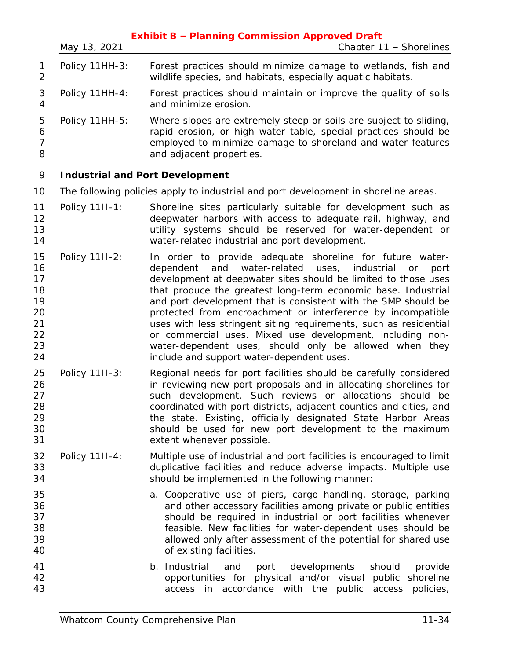|                                                          | May 13, 2021                           | <b>Exhibit B - Planning Commission Approved Draft</b><br>Chapter 11 - Shorelines                                                                                                                                                                                                                                                                                                                                                                                                                                                                                                                                                       |
|----------------------------------------------------------|----------------------------------------|----------------------------------------------------------------------------------------------------------------------------------------------------------------------------------------------------------------------------------------------------------------------------------------------------------------------------------------------------------------------------------------------------------------------------------------------------------------------------------------------------------------------------------------------------------------------------------------------------------------------------------------|
| 1<br>$\overline{2}$                                      | Policy 11HH-3:                         | Forest practices should minimize damage to wetlands, fish and<br>wildlife species, and habitats, especially aquatic habitats.                                                                                                                                                                                                                                                                                                                                                                                                                                                                                                          |
| $\mathfrak 3$<br>4                                       | Policy 11HH-4:                         | Forest practices should maintain or improve the quality of soils<br>and minimize erosion.                                                                                                                                                                                                                                                                                                                                                                                                                                                                                                                                              |
| 5<br>6<br>$\overline{7}$<br>8                            | Policy 11HH-5:                         | Where slopes are extremely steep or soils are subject to sliding,<br>rapid erosion, or high water table, special practices should be<br>employed to minimize damage to shoreland and water features<br>and adjacent properties.                                                                                                                                                                                                                                                                                                                                                                                                        |
| 9                                                        | <b>Industrial and Port Development</b> |                                                                                                                                                                                                                                                                                                                                                                                                                                                                                                                                                                                                                                        |
| 10                                                       |                                        | The following policies apply to industrial and port development in shoreline areas.                                                                                                                                                                                                                                                                                                                                                                                                                                                                                                                                                    |
| 11<br>12<br>13<br>14                                     | Policy 11II-1:                         | Shoreline sites particularly suitable for development such as<br>deepwater harbors with access to adequate rail, highway, and<br>utility systems should be reserved for water-dependent or<br>water-related industrial and port development.                                                                                                                                                                                                                                                                                                                                                                                           |
| 15<br>16<br>17<br>18<br>19<br>20<br>21<br>22<br>23<br>24 | Policy 11II-2:                         | In order to provide adequate shoreline for future water-<br>water-related uses, industrial<br>dependent and<br>or<br>port<br>development at deepwater sites should be limited to those uses<br>that produce the greatest long-term economic base. Industrial<br>and port development that is consistent with the SMP should be<br>protected from encroachment or interference by incompatible<br>uses with less stringent siting requirements, such as residential<br>or commercial uses. Mixed use development, including non-<br>water-dependent uses, should only be allowed when they<br>include and support water-dependent uses. |
| 25<br>26<br>27<br>28<br>29<br>30<br>31                   | Policy 11II-3:                         | Regional needs for port facilities should be carefully considered<br>in reviewing new port proposals and in allocating shorelines for<br>such development. Such reviews or allocations should be<br>coordinated with port districts, adjacent counties and cities, and<br>the state. Existing, officially designated State Harbor Areas<br>should be used for new port development to the maximum<br>extent whenever possible.                                                                                                                                                                                                         |
| 32<br>33<br>34                                           | Policy 11II-4:                         | Multiple use of industrial and port facilities is encouraged to limit<br>duplicative facilities and reduce adverse impacts. Multiple use<br>should be implemented in the following manner:                                                                                                                                                                                                                                                                                                                                                                                                                                             |
| 35<br>36<br>37<br>38<br>39<br>40                         |                                        | a. Cooperative use of piers, cargo handling, storage, parking<br>and other accessory facilities among private or public entities<br>should be required in industrial or port facilities whenever<br>feasible. New facilities for water-dependent uses should be<br>allowed only after assessment of the potential for shared use<br>of existing facilities.                                                                                                                                                                                                                                                                            |
| 41<br>42<br>43                                           |                                        | b. Industrial and port<br>developments<br>should<br>provide<br>opportunities for physical and/or visual public shoreline<br>access in accordance with the public access<br>policies,                                                                                                                                                                                                                                                                                                                                                                                                                                                   |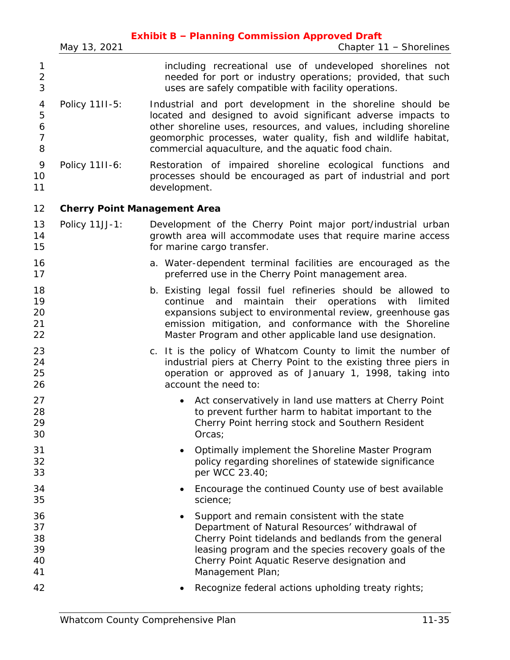|                                    | May 13, 2021   | <b>Exhibit B - Planning Commission Approved Draft</b><br>Chapter 11 - Shorelines                                                                                                                                                                                                                                         |
|------------------------------------|----------------|--------------------------------------------------------------------------------------------------------------------------------------------------------------------------------------------------------------------------------------------------------------------------------------------------------------------------|
|                                    |                |                                                                                                                                                                                                                                                                                                                          |
| 1<br>$\overline{2}$<br>3           |                | including recreational use of undeveloped shorelines not<br>needed for port or industry operations; provided, that such<br>uses are safely compatible with facility operations.                                                                                                                                          |
| 4<br>5<br>6<br>$\overline{7}$<br>8 | Policy 11II-5: | Industrial and port development in the shoreline should be<br>located and designed to avoid significant adverse impacts to<br>other shoreline uses, resources, and values, including shoreline<br>geomorphic processes, water quality, fish and wildlife habitat,<br>commercial aquaculture, and the aquatic food chain. |
| 9<br>10<br>11                      | Policy 11II-6: | Restoration of impaired shoreline ecological functions and<br>processes should be encouraged as part of industrial and port<br>development.                                                                                                                                                                              |
| 12                                 |                | <b>Cherry Point Management Area</b>                                                                                                                                                                                                                                                                                      |
| 13<br>14<br>15                     | Policy 11JJ-1: | Development of the Cherry Point major port/industrial urban<br>growth area will accommodate uses that require marine access<br>for marine cargo transfer.                                                                                                                                                                |
| 16<br>17                           |                | a. Water-dependent terminal facilities are encouraged as the<br>preferred use in the Cherry Point management area.                                                                                                                                                                                                       |
| 18<br>19<br>20<br>21<br>22         |                | b. Existing legal fossil fuel refineries should be allowed to<br>maintain<br>their operations with<br>and<br>limited<br>continue<br>expansions subject to environmental review, greenhouse gas<br>emission mitigation, and conformance with the Shoreline<br>Master Program and other applicable land use designation.   |
| 23<br>24<br>25<br>26               |                | c. It is the policy of Whatcom County to limit the number of<br>industrial piers at Cherry Point to the existing three piers in<br>operation or approved as of January 1, 1998, taking into<br>account the need to:                                                                                                      |
| 27<br>28<br>29<br>30               |                | Act conservatively in land use matters at Cherry Point<br>to prevent further harm to habitat important to the<br>Cherry Point herring stock and Southern Resident<br>Orcas;                                                                                                                                              |
| 31<br>32<br>33                     |                | Optimally implement the Shoreline Master Program<br>$\bullet$<br>policy regarding shorelines of statewide significance<br>per WCC 23.40;                                                                                                                                                                                 |
| 34<br>35                           |                | Encourage the continued County use of best available<br>٠<br>science;                                                                                                                                                                                                                                                    |
| 36<br>37<br>38<br>39<br>40<br>41   |                | Support and remain consistent with the state<br>٠<br>Department of Natural Resources' withdrawal of<br>Cherry Point tidelands and bedlands from the general<br>leasing program and the species recovery goals of the<br>Cherry Point Aquatic Reserve designation and<br>Management Plan;                                 |
| 42                                 |                | Recognize federal actions upholding treaty rights;<br>٠                                                                                                                                                                                                                                                                  |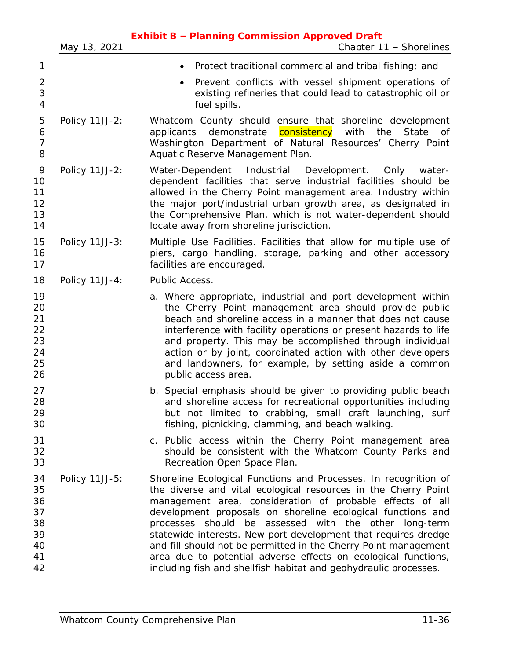|                                                    | May 13, 2021   | <b>Exhibit B - Planning Commission Approved Draft</b><br>Chapter 11 - Shorelines                                                                                                                                                                                                                                                                                                                                                                                                                                                                                                                  |
|----------------------------------------------------|----------------|---------------------------------------------------------------------------------------------------------------------------------------------------------------------------------------------------------------------------------------------------------------------------------------------------------------------------------------------------------------------------------------------------------------------------------------------------------------------------------------------------------------------------------------------------------------------------------------------------|
| 1                                                  |                | Protect traditional commercial and tribal fishing; and<br>٠                                                                                                                                                                                                                                                                                                                                                                                                                                                                                                                                       |
| $\overline{c}$<br>3<br>$\overline{4}$              |                | Prevent conflicts with vessel shipment operations of<br>$\bullet$<br>existing refineries that could lead to catastrophic oil or<br>fuel spills.                                                                                                                                                                                                                                                                                                                                                                                                                                                   |
| 5<br>6<br>$\overline{7}$<br>8                      | Policy 11JJ-2: | Whatcom County should ensure that shoreline development<br>consistency<br>demonstrate<br>with<br>the<br>State<br>applicants<br>Оf<br>Washington Department of Natural Resources' Cherry Point<br>Aquatic Reserve Management Plan.                                                                                                                                                                                                                                                                                                                                                                 |
| 9<br>10<br>11<br>12<br>13<br>14                    | Policy 11JJ-2: | Water-Dependent Industrial Development. Only<br>water-<br>dependent facilities that serve industrial facilities should be<br>allowed in the Cherry Point management area. Industry within<br>the major port/industrial urban growth area, as designated in<br>the Comprehensive Plan, which is not water-dependent should<br>locate away from shoreline jurisdiction.                                                                                                                                                                                                                             |
| 15<br>16<br>17                                     | Policy 11JJ-3: | Multiple Use Facilities. Facilities that allow for multiple use of<br>piers, cargo handling, storage, parking and other accessory<br>facilities are encouraged.                                                                                                                                                                                                                                                                                                                                                                                                                                   |
| 18                                                 | Policy 11JJ-4: | Public Access.                                                                                                                                                                                                                                                                                                                                                                                                                                                                                                                                                                                    |
| 19<br>20<br>21<br>22<br>23<br>24<br>25<br>26       |                | a. Where appropriate, industrial and port development within<br>the Cherry Point management area should provide public<br>beach and shoreline access in a manner that does not cause<br>interference with facility operations or present hazards to life<br>and property. This may be accomplished through individual<br>action or by joint, coordinated action with other developers<br>and landowners, for example, by setting aside a common<br>public access area.                                                                                                                            |
| 27<br>28<br>29<br>30                               |                | b. Special emphasis should be given to providing public beach<br>and shoreline access for recreational opportunities including<br>but not limited to crabbing, small craft launching, surf<br>fishing, picnicking, clamming, and beach walking.                                                                                                                                                                                                                                                                                                                                                   |
| 31<br>32<br>33                                     |                | c. Public access within the Cherry Point management area<br>should be consistent with the Whatcom County Parks and<br>Recreation Open Space Plan.                                                                                                                                                                                                                                                                                                                                                                                                                                                 |
| 34<br>35<br>36<br>37<br>38<br>39<br>40<br>41<br>42 | Policy 11JJ-5: | Shoreline Ecological Functions and Processes. In recognition of<br>the diverse and vital ecological resources in the Cherry Point<br>management area, consideration of probable effects of all<br>development proposals on shoreline ecological functions and<br>processes should be assessed with the other long-term<br>statewide interests. New port development that requires dredge<br>and fill should not be permitted in the Cherry Point management<br>area due to potential adverse effects on ecological functions,<br>including fish and shellfish habitat and geohydraulic processes. |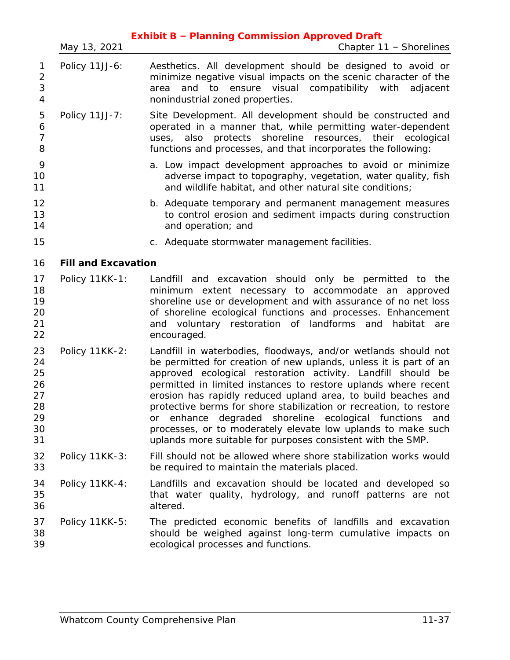|                                                    | May 13, 2021               | <b>Exhibit B - Planning Commission Approved Draft</b><br>Chapter 11 - Shorelines                                                                                                                                                                                                                                                                                                                                                                                                                                                                                                                         |
|----------------------------------------------------|----------------------------|----------------------------------------------------------------------------------------------------------------------------------------------------------------------------------------------------------------------------------------------------------------------------------------------------------------------------------------------------------------------------------------------------------------------------------------------------------------------------------------------------------------------------------------------------------------------------------------------------------|
| 1<br>$\overline{c}$<br>3<br>$\overline{4}$         | Policy 11JJ-6:             | Aesthetics. All development should be designed to avoid or<br>minimize negative visual impacts on the scenic character of the<br>and to ensure visual compatibility with adjacent<br>area<br>nonindustrial zoned properties.                                                                                                                                                                                                                                                                                                                                                                             |
| 5<br>6<br>$\overline{7}$<br>8                      | Policy 11JJ-7:             | Site Development. All development should be constructed and<br>operated in a manner that, while permitting water-dependent<br>uses, also protects shoreline resources, their ecological<br>functions and processes, and that incorporates the following:                                                                                                                                                                                                                                                                                                                                                 |
| 9<br>10<br>11                                      |                            | a. Low impact development approaches to avoid or minimize<br>adverse impact to topography, vegetation, water quality, fish<br>and wildlife habitat, and other natural site conditions;                                                                                                                                                                                                                                                                                                                                                                                                                   |
| 12<br>13<br>14                                     |                            | b. Adequate temporary and permanent management measures<br>to control erosion and sediment impacts during construction<br>and operation; and                                                                                                                                                                                                                                                                                                                                                                                                                                                             |
| 15                                                 |                            | c. Adequate stormwater management facilities.                                                                                                                                                                                                                                                                                                                                                                                                                                                                                                                                                            |
| 16                                                 | <b>Fill and Excavation</b> |                                                                                                                                                                                                                                                                                                                                                                                                                                                                                                                                                                                                          |
| 17<br>18<br>19<br>20<br>21<br>22                   | Policy 11KK-1:             | Landfill and excavation should only be permitted to<br>the<br>minimum extent necessary to accommodate an approved<br>shoreline use or development and with assurance of no net loss<br>of shoreline ecological functions and processes. Enhancement<br>and voluntary restoration of landforms and habitat<br>are<br>encouraged.                                                                                                                                                                                                                                                                          |
| 23<br>24<br>25<br>26<br>27<br>28<br>29<br>30<br>31 | Policy 11KK-2:             | Landfill in waterbodies, floodways, and/or wetlands should not<br>be permitted for creation of new uplands, unless it is part of an<br>approved ecological restoration activity. Landfill should be<br>permitted in limited instances to restore uplands where recent<br>erosion has rapidly reduced upland area, to build beaches and<br>protective berms for shore stabilization or recreation, to restore<br>or enhance degraded shoreline ecological functions<br>and<br>processes, or to moderately elevate low uplands to make such<br>uplands more suitable for purposes consistent with the SMP. |
| 32<br>33                                           | Policy 11KK-3:             | Fill should not be allowed where shore stabilization works would<br>be required to maintain the materials placed.                                                                                                                                                                                                                                                                                                                                                                                                                                                                                        |
| 34<br>35<br>36                                     | Policy 11KK-4:             | Landfills and excavation should be located and developed so<br>that water quality, hydrology, and runoff patterns are not<br>altered.                                                                                                                                                                                                                                                                                                                                                                                                                                                                    |
| 37<br>38<br>39                                     | Policy 11KK-5:             | The predicted economic benefits of landfills and excavation<br>should be weighed against long-term cumulative impacts on<br>ecological processes and functions.                                                                                                                                                                                                                                                                                                                                                                                                                                          |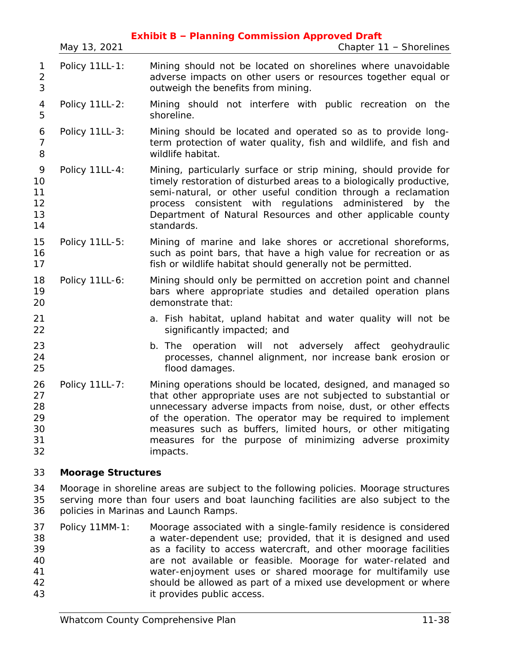|                                        | May 13, 2021              | <b>Exhibit B - Planning Commission Approved Draft</b><br>Chapter 11 - Shorelines                                                                                                                                                                                                                                                                                                                          |
|----------------------------------------|---------------------------|-----------------------------------------------------------------------------------------------------------------------------------------------------------------------------------------------------------------------------------------------------------------------------------------------------------------------------------------------------------------------------------------------------------|
| 1<br>$\overline{2}$<br>3               | Policy 11LL-1:            | Mining should not be located on shorelines where unavoidable<br>adverse impacts on other users or resources together equal or<br>outweigh the benefits from mining.                                                                                                                                                                                                                                       |
| 4<br>5                                 | Policy 11LL-2:            | Mining should not interfere with public recreation on the<br>shoreline.                                                                                                                                                                                                                                                                                                                                   |
| 6<br>$\overline{7}$<br>8               | Policy 11LL-3:            | Mining should be located and operated so as to provide long-<br>term protection of water quality, fish and wildlife, and fish and<br>wildlife habitat.                                                                                                                                                                                                                                                    |
| 9<br>10<br>11<br>12<br>13<br>14        | Policy 11LL-4:            | Mining, particularly surface or strip mining, should provide for<br>timely restoration of disturbed areas to a biologically productive,<br>semi-natural, or other useful condition through a reclamation<br>consistent with regulations administered<br>by the<br>process<br>Department of Natural Resources and other applicable county<br>standards.                                                    |
| 15<br>16<br>17                         | Policy 11LL-5:            | Mining of marine and lake shores or accretional shoreforms,<br>such as point bars, that have a high value for recreation or as<br>fish or wildlife habitat should generally not be permitted.                                                                                                                                                                                                             |
| 18<br>19<br>20                         | Policy 11LL-6:            | Mining should only be permitted on accretion point and channel<br>bars where appropriate studies and detailed operation plans<br>demonstrate that:                                                                                                                                                                                                                                                        |
| 21<br>22                               |                           | a. Fish habitat, upland habitat and water quality will not be<br>significantly impacted; and                                                                                                                                                                                                                                                                                                              |
| 23<br>24<br>25                         |                           | operation will not adversely affect geohydraulic<br>b. The<br>processes, channel alignment, nor increase bank erosion or<br>flood damages.                                                                                                                                                                                                                                                                |
| 26<br>27<br>28<br>29<br>30<br>31<br>32 | Policy 11LL-7:            | Mining operations should be located, designed, and managed so<br>that other appropriate uses are not subjected to substantial or<br>unnecessary adverse impacts from noise, dust, or other effects<br>of the operation. The operator may be required to implement<br>measures such as buffers, limited hours, or other mitigating<br>measures for the purpose of minimizing adverse proximity<br>impacts. |
| 33                                     | <b>Moorage Structures</b> |                                                                                                                                                                                                                                                                                                                                                                                                           |
| 31                                     |                           | Moorage in shoreline areas are subject to the following policies. Moorage structures                                                                                                                                                                                                                                                                                                                      |

 Moorage in shoreline areas are subject to the following policies. Moorage structures serving more than four users and boat launching facilities are also subject to the policies in Marinas and Launch Ramps.

 Policy 11MM-1: Moorage associated with a single-family residence is considered a water-dependent use; provided, that it is designed and used as a facility to access watercraft, and other moorage facilities are not available or feasible. Moorage for water-related and water-enjoyment uses or shared moorage for multifamily use should be allowed as part of a mixed use development or where it provides public access.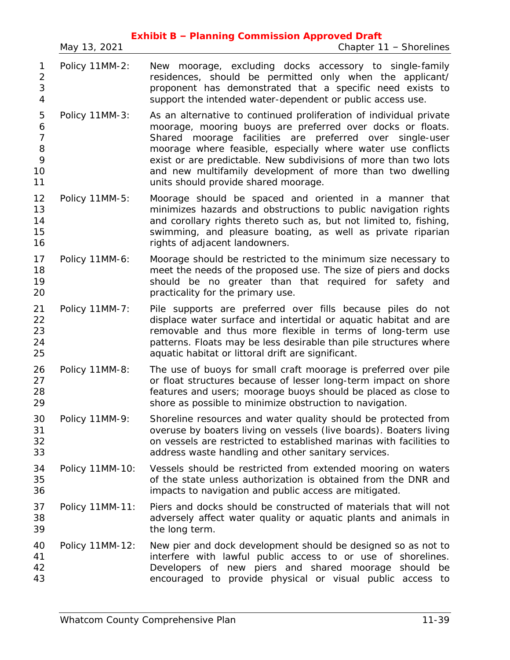|                                                |                 | <b>Exhibit B - Planning Commission Approved Draft</b>                                                                                                                                                                                                                                                                                                                                                                                 |
|------------------------------------------------|-----------------|---------------------------------------------------------------------------------------------------------------------------------------------------------------------------------------------------------------------------------------------------------------------------------------------------------------------------------------------------------------------------------------------------------------------------------------|
|                                                | May 13, 2021    | Chapter 11 - Shorelines                                                                                                                                                                                                                                                                                                                                                                                                               |
| 1<br>$\overline{2}$<br>3<br>$\overline{4}$     | Policy 11MM-2:  | New moorage, excluding docks accessory to single-family<br>residences, should be permitted only when the applicant/<br>proponent has demonstrated that a specific need exists to<br>support the intended water-dependent or public access use.                                                                                                                                                                                        |
| 5<br>6<br>$\overline{7}$<br>8<br>9<br>10<br>11 | Policy 11MM-3:  | As an alternative to continued proliferation of individual private<br>moorage, mooring buoys are preferred over docks or floats.<br>Shared moorage facilities are preferred over single-user<br>moorage where feasible, especially where water use conflicts<br>exist or are predictable. New subdivisions of more than two lots<br>and new multifamily development of more than two dwelling<br>units should provide shared moorage. |
| 12<br>13<br>14<br>15<br>16                     | Policy 11MM-5:  | Moorage should be spaced and oriented in a manner that<br>minimizes hazards and obstructions to public navigation rights<br>and corollary rights thereto such as, but not limited to, fishing,<br>swimming, and pleasure boating, as well as private riparian<br>rights of adjacent landowners.                                                                                                                                       |
| 17<br>18<br>19<br>20                           | Policy 11MM-6:  | Moorage should be restricted to the minimum size necessary to<br>meet the needs of the proposed use. The size of piers and docks<br>should be no greater than that required for safety and<br>practicality for the primary use.                                                                                                                                                                                                       |
| 21<br>22<br>23<br>24<br>25                     | Policy 11MM-7:  | Pile supports are preferred over fills because piles do not<br>displace water surface and intertidal or aquatic habitat and are<br>removable and thus more flexible in terms of long-term use<br>patterns. Floats may be less desirable than pile structures where<br>aquatic habitat or littoral drift are significant.                                                                                                              |
| 26<br>27<br>28<br>29                           | Policy 11MM-8:  | The use of buoys for small craft moorage is preferred over pile<br>or float structures because of lesser long-term impact on shore<br>features and users; moorage buoys should be placed as close to<br>shore as possible to minimize obstruction to navigation.                                                                                                                                                                      |
| 30<br>31<br>32<br>33                           | Policy 11MM-9:  | Shoreline resources and water quality should be protected from<br>overuse by boaters living on vessels (live boards). Boaters living<br>on vessels are restricted to established marinas with facilities to<br>address waste handling and other sanitary services.                                                                                                                                                                    |
| 34<br>35<br>36                                 | Policy 11MM-10: | Vessels should be restricted from extended mooring on waters<br>of the state unless authorization is obtained from the DNR and<br>impacts to navigation and public access are mitigated.                                                                                                                                                                                                                                              |
| 37<br>38<br>39                                 | Policy 11MM-11: | Piers and docks should be constructed of materials that will not<br>adversely affect water quality or aquatic plants and animals in<br>the long term.                                                                                                                                                                                                                                                                                 |
| 40<br>41<br>42<br>43                           | Policy 11MM-12: | New pier and dock development should be designed so as not to<br>interfere with lawful public access to or use of shorelines.<br>Developers of new piers and shared moorage should be<br>encouraged to provide physical or visual public access to                                                                                                                                                                                    |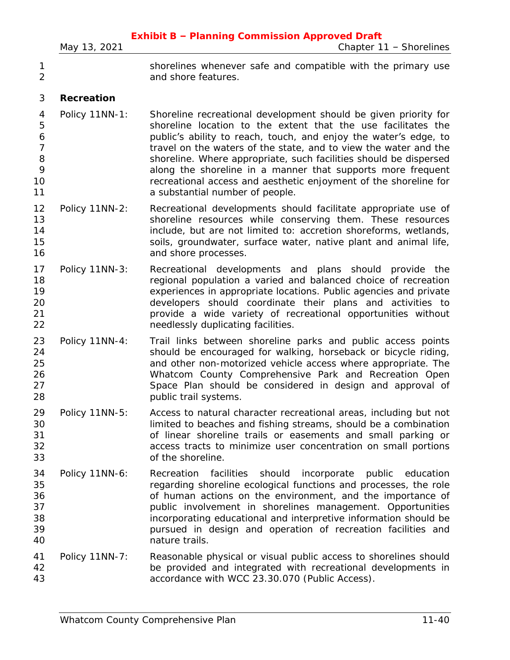|                                                     | May 13, 2021      | <b>Exhibit B - Planning Commission Approved Draft</b><br>Chapter 11 - Shorelines                                                                                                                                                                                                                                                                                                                                                                                                                                    |
|-----------------------------------------------------|-------------------|---------------------------------------------------------------------------------------------------------------------------------------------------------------------------------------------------------------------------------------------------------------------------------------------------------------------------------------------------------------------------------------------------------------------------------------------------------------------------------------------------------------------|
| 1<br>$\overline{2}$                                 |                   | shorelines whenever safe and compatible with the primary use<br>and shore features.                                                                                                                                                                                                                                                                                                                                                                                                                                 |
| 3                                                   | <b>Recreation</b> |                                                                                                                                                                                                                                                                                                                                                                                                                                                                                                                     |
| 4<br>5<br>6<br>$\overline{7}$<br>8<br>9<br>10<br>11 | Policy 11NN-1:    | Shoreline recreational development should be given priority for<br>shoreline location to the extent that the use facilitates the<br>public's ability to reach, touch, and enjoy the water's edge, to<br>travel on the waters of the state, and to view the water and the<br>shoreline. Where appropriate, such facilities should be dispersed<br>along the shoreline in a manner that supports more frequent<br>recreational access and aesthetic enjoyment of the shoreline for<br>a substantial number of people. |
| 12<br>13<br>14<br>15<br>16                          | Policy 11NN-2:    | Recreational developments should facilitate appropriate use of<br>shoreline resources while conserving them. These resources<br>include, but are not limited to: accretion shoreforms, wetlands,<br>soils, groundwater, surface water, native plant and animal life,<br>and shore processes.                                                                                                                                                                                                                        |
| 17<br>18<br>19<br>20<br>21<br>22                    | Policy 11NN-3:    | Recreational developments and plans should<br>provide<br>the<br>regional population a varied and balanced choice of recreation<br>experiences in appropriate locations. Public agencies and private<br>developers should coordinate their plans and activities to<br>provide a wide variety of recreational opportunities without<br>needlessly duplicating facilities.                                                                                                                                             |
| 23<br>24<br>25<br>26<br>27<br>28                    | Policy 11NN-4:    | Trail links between shoreline parks and public access points<br>should be encouraged for walking, horseback or bicycle riding,<br>and other non-motorized vehicle access where appropriate. The<br>Whatcom County Comprehensive Park and Recreation Open<br>Space Plan should be considered in design and approval of<br>public trail systems.                                                                                                                                                                      |
| 29<br>30<br>31<br>32<br>33                          | Policy 11NN-5:    | Access to natural character recreational areas, including but not<br>limited to beaches and fishing streams, should be a combination<br>of linear shoreline trails or easements and small parking or<br>access tracts to minimize user concentration on small portions<br>of the shoreline.                                                                                                                                                                                                                         |
| 34<br>35<br>36<br>37<br>38<br>39<br>40              | Policy 11NN-6:    | facilities<br>should<br>incorporate public<br>Recreation<br>education<br>regarding shoreline ecological functions and processes, the role<br>of human actions on the environment, and the importance of<br>public involvement in shorelines management. Opportunities<br>incorporating educational and interpretive information should be<br>pursued in design and operation of recreation facilities and<br>nature trails.                                                                                         |
| 41<br>42<br>43                                      | Policy 11NN-7:    | Reasonable physical or visual public access to shorelines should<br>be provided and integrated with recreational developments in<br>accordance with WCC 23.30.070 (Public Access).                                                                                                                                                                                                                                                                                                                                  |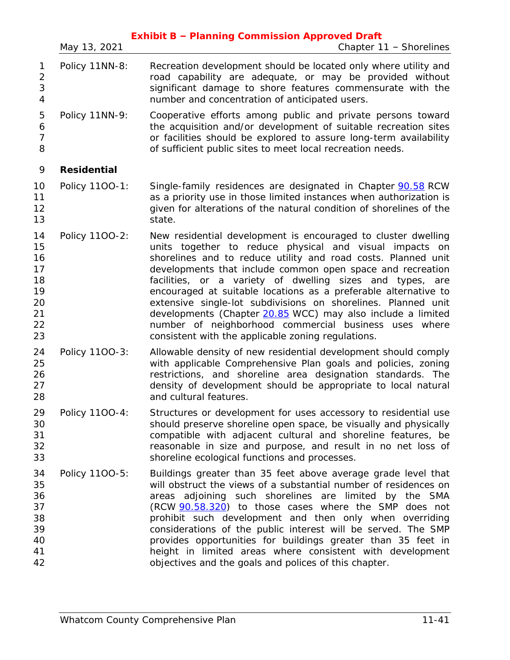|                                                          | May 13, 2021       | <b>Exhibit B - Planning Commission Approved Draft</b><br>Chapter 11 - Shorelines                                                                                                                                                                                                                                                                                                                                                                                                                                                                                                                                                       |
|----------------------------------------------------------|--------------------|----------------------------------------------------------------------------------------------------------------------------------------------------------------------------------------------------------------------------------------------------------------------------------------------------------------------------------------------------------------------------------------------------------------------------------------------------------------------------------------------------------------------------------------------------------------------------------------------------------------------------------------|
| 1<br>$\sqrt{2}$<br>3<br>$\sqrt{4}$                       | Policy 11NN-8:     | Recreation development should be located only where utility and<br>road capability are adequate, or may be provided without<br>significant damage to shore features commensurate with the<br>number and concentration of anticipated users.                                                                                                                                                                                                                                                                                                                                                                                            |
| 5<br>6<br>$\overline{7}$<br>8                            | Policy 11NN-9:     | Cooperative efforts among public and private persons toward<br>the acquisition and/or development of suitable recreation sites<br>or facilities should be explored to assure long-term availability<br>of sufficient public sites to meet local recreation needs.                                                                                                                                                                                                                                                                                                                                                                      |
| 9                                                        | <b>Residential</b> |                                                                                                                                                                                                                                                                                                                                                                                                                                                                                                                                                                                                                                        |
| 10<br>11<br>12<br>13                                     | Policy 1100-1:     | Single-family residences are designated in Chapter 90.58 RCW<br>as a priority use in those limited instances when authorization is<br>given for alterations of the natural condition of shorelines of the<br>state.                                                                                                                                                                                                                                                                                                                                                                                                                    |
| 14<br>15<br>16<br>17<br>18<br>19<br>20<br>21<br>22<br>23 | Policy 1100-2:     | New residential development is encouraged to cluster dwelling<br>units together to reduce physical and visual impacts on<br>shorelines and to reduce utility and road costs. Planned unit<br>developments that include common open space and recreation<br>facilities, or a variety of dwelling sizes and types, are<br>encouraged at suitable locations as a preferable alternative to<br>extensive single-lot subdivisions on shorelines. Planned unit<br>developments (Chapter 20.85 WCC) may also include a limited<br>number of neighborhood commercial business uses where<br>consistent with the applicable zoning regulations. |
| 24<br>25<br>26<br>27<br>28                               | Policy 1100-3:     | Allowable density of new residential development should comply<br>with applicable Comprehensive Plan goals and policies, zoning<br>restrictions, and shoreline area designation standards. The<br>density of development should be appropriate to local natural<br>and cultural features.                                                                                                                                                                                                                                                                                                                                              |
| 29<br>30<br>31<br>32<br>33                               | Policy 1100-4:     | Structures or development for uses accessory to residential use<br>should preserve shoreline open space, be visually and physically<br>compatible with adjacent cultural and shoreline features, be<br>reasonable in size and purpose, and result in no net loss of<br>shoreline ecological functions and processes.                                                                                                                                                                                                                                                                                                                   |
| 34<br>35<br>36<br>37<br>38<br>39<br>40<br>41<br>42       | Policy 1100-5:     | Buildings greater than 35 feet above average grade level that<br>will obstruct the views of a substantial number of residences on<br>adjoining such shorelines are limited<br>by the SMA<br>areas<br>(RCW 90.58.320) to those cases where the SMP does not<br>prohibit such development and then only when overriding<br>considerations of the public interest will be served. The SMP<br>provides opportunities for buildings greater than 35 feet in<br>height in limited areas where consistent with development<br>objectives and the goals and polices of this chapter.                                                           |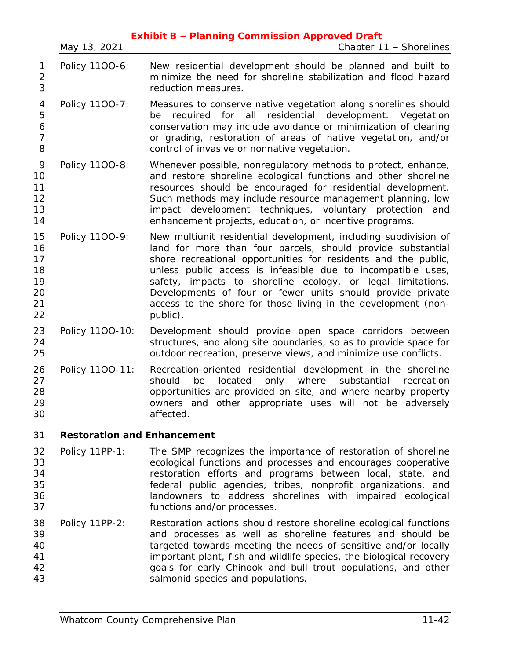|                                              | May 13, 2021                       | <b>Exhibit B - Planning Commission Approved Draft</b><br>Chapter 11 - Shorelines                                                                                                                                                                                                                                                                                                                                                                                           |
|----------------------------------------------|------------------------------------|----------------------------------------------------------------------------------------------------------------------------------------------------------------------------------------------------------------------------------------------------------------------------------------------------------------------------------------------------------------------------------------------------------------------------------------------------------------------------|
| 1<br>$\overline{c}$<br>3                     | Policy 1100-6:                     | New residential development should be planned and built to<br>minimize the need for shoreline stabilization and flood hazard<br>reduction measures.                                                                                                                                                                                                                                                                                                                        |
| 4<br>5<br>6<br>$\overline{7}$<br>8           | Policy 1100-7:                     | Measures to conserve native vegetation along shorelines should<br>required for all residential development. Vegetation<br>be<br>conservation may include avoidance or minimization of clearing<br>or grading, restoration of areas of native vegetation, and/or<br>control of invasive or nonnative vegetation.                                                                                                                                                            |
| 9<br>10<br>11<br>12<br>13<br>14              | Policy 1100-8:                     | Whenever possible, nonregulatory methods to protect, enhance,<br>and restore shoreline ecological functions and other shoreline<br>resources should be encouraged for residential development.<br>Such methods may include resource management planning, low<br>impact development techniques, voluntary protection<br>and<br>enhancement projects, education, or incentive programs.                                                                                      |
| 15<br>16<br>17<br>18<br>19<br>20<br>21<br>22 | Policy 1100-9:                     | New multiunit residential development, including subdivision of<br>land for more than four parcels, should provide substantial<br>shore recreational opportunities for residents and the public,<br>unless public access is infeasible due to incompatible uses,<br>safety, impacts to shoreline ecology, or legal limitations.<br>Developments of four or fewer units should provide private<br>access to the shore for those living in the development (non-<br>public). |
| 23<br>24<br>25                               | Policy 1100-10:                    | Development should provide open space corridors between<br>structures, and along site boundaries, so as to provide space for<br>outdoor recreation, preserve views, and minimize use conflicts.                                                                                                                                                                                                                                                                            |
| 26<br>27<br>28<br>29<br>30                   | Policy 1100-11:                    | Recreation-oriented residential development in the shoreline<br>should<br>be<br>located<br>only<br>where<br>substantial<br>recreation<br>opportunities are provided on site, and where nearby property<br>owners and other appropriate uses will not be adversely<br>affected.                                                                                                                                                                                             |
| 31                                           | <b>Restoration and Enhancement</b> |                                                                                                                                                                                                                                                                                                                                                                                                                                                                            |
| 32<br>33<br>34<br>35<br>36<br>37             | Policy 11PP-1:                     | The SMP recognizes the importance of restoration of shoreline<br>ecological functions and processes and encourages cooperative<br>restoration efforts and programs between local, state, and<br>federal public agencies, tribes, nonprofit organizations, and<br>landowners to address shorelines with impaired ecological<br>functions and/or processes.                                                                                                                  |
| 38<br>39<br>40<br>41<br>42<br>43             | Policy 11PP-2:                     | Restoration actions should restore shoreline ecological functions<br>and processes as well as shoreline features and should be<br>targeted towards meeting the needs of sensitive and/or locally<br>important plant, fish and wildlife species, the biological recovery<br>goals for early Chinook and bull trout populations, and other<br>salmonid species and populations.                                                                                              |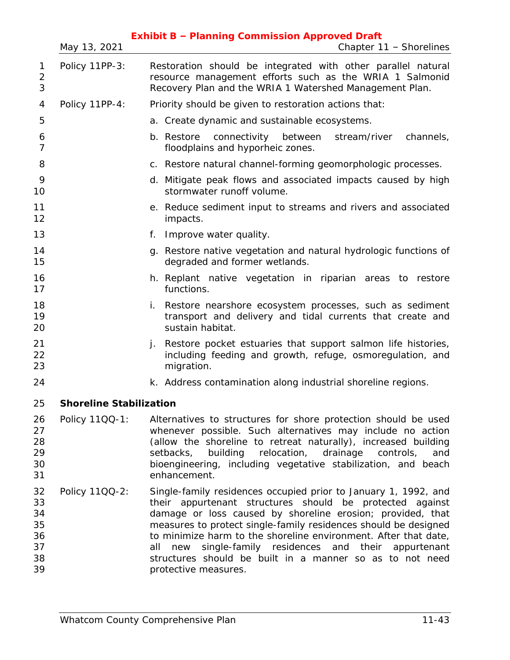|                                              |                                | <b>Exhibit B - Planning Commission Approved Draft</b>                                                                                                                                                                                                                                                                                                                                                                                                                            |
|----------------------------------------------|--------------------------------|----------------------------------------------------------------------------------------------------------------------------------------------------------------------------------------------------------------------------------------------------------------------------------------------------------------------------------------------------------------------------------------------------------------------------------------------------------------------------------|
|                                              | May 13, 2021                   | Chapter 11 - Shorelines                                                                                                                                                                                                                                                                                                                                                                                                                                                          |
| 1<br>$\overline{2}$<br>3                     | Policy 11PP-3:                 | Restoration should be integrated with other parallel natural<br>resource management efforts such as the WRIA 1 Salmonid<br>Recovery Plan and the WRIA 1 Watershed Management Plan.                                                                                                                                                                                                                                                                                               |
| 4                                            | Policy 11PP-4:                 | Priority should be given to restoration actions that:                                                                                                                                                                                                                                                                                                                                                                                                                            |
| 5                                            |                                | a. Create dynamic and sustainable ecosystems.                                                                                                                                                                                                                                                                                                                                                                                                                                    |
| 6<br>$\overline{7}$                          |                                | connectivity between<br>stream/river<br>channels,<br>b. Restore<br>floodplains and hyporheic zones.                                                                                                                                                                                                                                                                                                                                                                              |
| 8                                            |                                | c. Restore natural channel-forming geomorphologic processes.                                                                                                                                                                                                                                                                                                                                                                                                                     |
| 9<br>10                                      |                                | d. Mitigate peak flows and associated impacts caused by high<br>stormwater runoff volume.                                                                                                                                                                                                                                                                                                                                                                                        |
| 11<br>12                                     |                                | e. Reduce sediment input to streams and rivers and associated<br>impacts.                                                                                                                                                                                                                                                                                                                                                                                                        |
| 13                                           |                                | Improve water quality.<br>f.                                                                                                                                                                                                                                                                                                                                                                                                                                                     |
| 14<br>15                                     |                                | g. Restore native vegetation and natural hydrologic functions of<br>degraded and former wetlands.                                                                                                                                                                                                                                                                                                                                                                                |
| 16<br>17                                     |                                | h. Replant native vegetation in riparian areas to restore<br>functions.                                                                                                                                                                                                                                                                                                                                                                                                          |
| 18<br>19<br>20                               |                                | Restore nearshore ecosystem processes, such as sediment<br>i.<br>transport and delivery and tidal currents that create and<br>sustain habitat.                                                                                                                                                                                                                                                                                                                                   |
| 21<br>22<br>23                               |                                | Restore pocket estuaries that support salmon life histories,<br>j.<br>including feeding and growth, refuge, osmoregulation, and<br>migration.                                                                                                                                                                                                                                                                                                                                    |
| 24                                           |                                | k. Address contamination along industrial shoreline regions.                                                                                                                                                                                                                                                                                                                                                                                                                     |
| 25                                           | <b>Shoreline Stabilization</b> |                                                                                                                                                                                                                                                                                                                                                                                                                                                                                  |
| 26<br>27<br>28<br>29<br>30<br>31             | Policy 1100-1:                 | Alternatives to structures for shore protection should be used<br>whenever possible. Such alternatives may include no action<br>(allow the shoreline to retreat naturally), increased building<br>building<br>relocation, drainage<br>setbacks,<br>controls,<br>and<br>bioengineering, including vegetative stabilization, and beach<br>enhancement.                                                                                                                             |
| 32<br>33<br>34<br>35<br>36<br>37<br>38<br>39 | Policy 1100-2:                 | Single-family residences occupied prior to January 1, 1992, and<br>their appurtenant structures should be protected against<br>damage or loss caused by shoreline erosion; provided, that<br>measures to protect single-family residences should be designed<br>to minimize harm to the shoreline environment. After that date,<br>new single-family residences and their appurtenant<br>all<br>structures should be built in a manner so as to not need<br>protective measures. |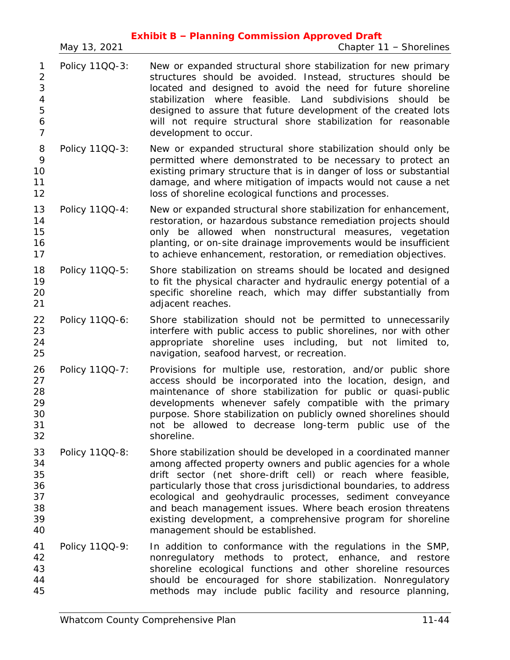|                                                                        | May 13, 2021   | <b>Exhibit B - Planning Commission Approved Draft</b><br>Chapter 11 - Shorelines                                                                                                                                                                                                                                                                                                                                                                                                                         |
|------------------------------------------------------------------------|----------------|----------------------------------------------------------------------------------------------------------------------------------------------------------------------------------------------------------------------------------------------------------------------------------------------------------------------------------------------------------------------------------------------------------------------------------------------------------------------------------------------------------|
| 1<br>$\overline{2}$<br>3<br>$\overline{4}$<br>5<br>6<br>$\overline{7}$ | Policy 11QQ-3: | New or expanded structural shore stabilization for new primary<br>structures should be avoided. Instead, structures should be<br>located and designed to avoid the need for future shoreline<br>stabilization where feasible. Land subdivisions should<br>be<br>designed to assure that future development of the created lots<br>will not require structural shore stabilization for reasonable<br>development to occur.                                                                                |
| 8<br>9<br>10<br>11<br>12                                               | Policy 11QQ-3: | New or expanded structural shore stabilization should only be<br>permitted where demonstrated to be necessary to protect an<br>existing primary structure that is in danger of loss or substantial<br>damage, and where mitigation of impacts would not cause a net<br>loss of shoreline ecological functions and processes.                                                                                                                                                                             |
| 13<br>14<br>15<br>16<br>17                                             | Policy 1100-4: | New or expanded structural shore stabilization for enhancement,<br>restoration, or hazardous substance remediation projects should<br>only be allowed when nonstructural measures, vegetation<br>planting, or on-site drainage improvements would be insufficient<br>to achieve enhancement, restoration, or remediation objectives.                                                                                                                                                                     |
| 18<br>19<br>20<br>21                                                   | Policy 11QQ-5: | Shore stabilization on streams should be located and designed<br>to fit the physical character and hydraulic energy potential of a<br>specific shoreline reach, which may differ substantially from<br>adjacent reaches.                                                                                                                                                                                                                                                                                 |
| 22<br>23<br>24<br>25                                                   | Policy 1100-6: | Shore stabilization should not be permitted to unnecessarily<br>interfere with public access to public shorelines, nor with other<br>appropriate shoreline uses including, but not limited to,<br>navigation, seafood harvest, or recreation.                                                                                                                                                                                                                                                            |
| 26<br>27<br>28<br>29<br>30<br>31<br>32                                 | Policy 1100-7: | Provisions for multiple use, restoration, and/or public shore<br>access should be incorporated into the location, design, and<br>maintenance of shore stabilization for public or quasi-public<br>developments whenever safely compatible with the primary<br>purpose. Shore stabilization on publicly owned shorelines should<br>not be allowed to decrease long-term public use of the<br>shoreline.                                                                                                   |
| 33<br>34<br>35<br>36<br>37<br>38<br>39<br>40                           | Policy 1100-8: | Shore stabilization should be developed in a coordinated manner<br>among affected property owners and public agencies for a whole<br>drift sector (net shore-drift cell) or reach where feasible,<br>particularly those that cross jurisdictional boundaries, to address<br>ecological and geohydraulic processes, sediment conveyance<br>and beach management issues. Where beach erosion threatens<br>existing development, a comprehensive program for shoreline<br>management should be established. |
| 41<br>42<br>43<br>44<br>45                                             | Policy 11QQ-9: | In addition to conformance with the regulations in the SMP,<br>nonregulatory methods to protect, enhance, and restore<br>shoreline ecological functions and other shoreline resources<br>should be encouraged for shore stabilization. Nonregulatory<br>methods may include public facility and resource planning,                                                                                                                                                                                       |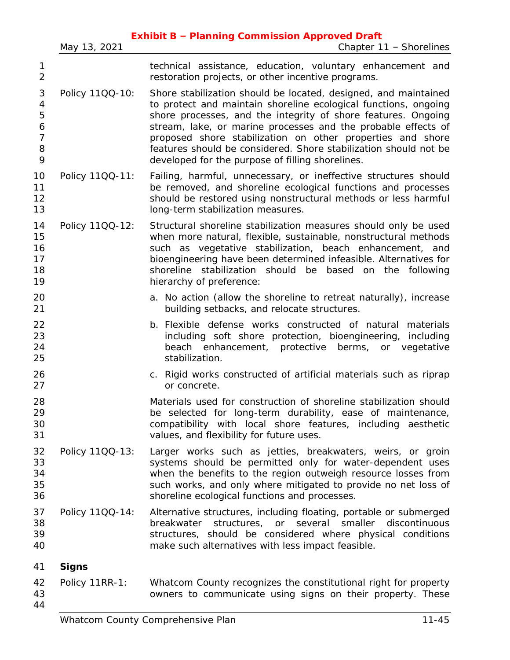|                                              | May 13, 2021    | <b>Exhibit B - Planning Commission Approved Draft</b><br>Chapter 11 - Shorelines                                                                                                                                                                                                                                                                                                                                                                           |
|----------------------------------------------|-----------------|------------------------------------------------------------------------------------------------------------------------------------------------------------------------------------------------------------------------------------------------------------------------------------------------------------------------------------------------------------------------------------------------------------------------------------------------------------|
| $\mathbf{1}$<br>$\overline{2}$               |                 | technical assistance, education, voluntary enhancement and<br>restoration projects, or other incentive programs.                                                                                                                                                                                                                                                                                                                                           |
| 3<br>4<br>5<br>6<br>$\overline{7}$<br>8<br>9 | Policy 11QQ-10: | Shore stabilization should be located, designed, and maintained<br>to protect and maintain shoreline ecological functions, ongoing<br>shore processes, and the integrity of shore features. Ongoing<br>stream, lake, or marine processes and the probable effects of<br>proposed shore stabilization on other properties and shore<br>features should be considered. Shore stabilization should not be<br>developed for the purpose of filling shorelines. |
| 10<br>11<br>12<br>13                         | Policy 11QQ-11: | Failing, harmful, unnecessary, or ineffective structures should<br>be removed, and shoreline ecological functions and processes<br>should be restored using nonstructural methods or less harmful<br>long-term stabilization measures.                                                                                                                                                                                                                     |
| 14<br>15<br>16<br>17<br>18<br>19             | Policy 11QQ-12: | Structural shoreline stabilization measures should only be used<br>when more natural, flexible, sustainable, nonstructural methods<br>such as vegetative stabilization, beach enhancement, and<br>bioengineering have been determined infeasible. Alternatives for<br>shoreline stabilization should be based on the following<br>hierarchy of preference:                                                                                                 |
| 20<br>21                                     |                 | a. No action (allow the shoreline to retreat naturally), increase<br>building setbacks, and relocate structures.                                                                                                                                                                                                                                                                                                                                           |
| 22<br>23<br>24<br>25                         |                 | b. Flexible defense works constructed of natural materials<br>including soft shore protection, bioengineering, including<br>beach enhancement, protective berms, or vegetative<br>stabilization.                                                                                                                                                                                                                                                           |
| 26<br>27                                     |                 | c. Rigid works constructed of artificial materials such as riprap<br>or concrete.                                                                                                                                                                                                                                                                                                                                                                          |
| 28<br>29<br>30<br>31                         |                 | Materials used for construction of shoreline stabilization should<br>be selected for long-term durability, ease of maintenance,<br>compatibility with local shore features, including aesthetic<br>values, and flexibility for future uses.                                                                                                                                                                                                                |
| 32<br>33<br>34<br>35<br>36                   | Policy 11QQ-13: | Larger works such as jetties, breakwaters, weirs, or groin<br>systems should be permitted only for water-dependent uses<br>when the benefits to the region outweigh resource losses from<br>such works, and only where mitigated to provide no net loss of<br>shoreline ecological functions and processes.                                                                                                                                                |
| 37<br>38<br>39<br>40                         | Policy 11QQ-14: | Alternative structures, including floating, portable or submerged<br>breakwater structures, or several smaller discontinuous<br>structures, should be considered where physical conditions<br>make such alternatives with less impact feasible.                                                                                                                                                                                                            |
| 41                                           | <b>Signs</b>    |                                                                                                                                                                                                                                                                                                                                                                                                                                                            |
| 42<br>43<br>44                               | Policy 11RR-1:  | Whatcom County recognizes the constitutional right for property<br>owners to communicate using signs on their property. These                                                                                                                                                                                                                                                                                                                              |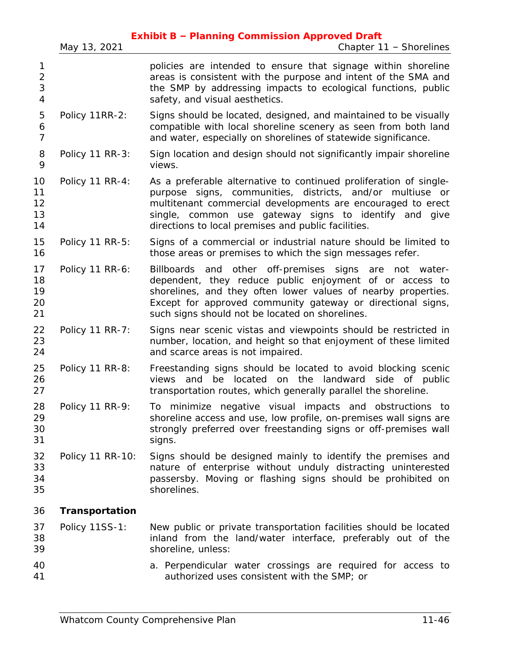|                                            | May 13, 2021     | <b>Exhibit B - Planning Commission Approved Draft</b><br>Chapter 11 - Shorelines                                                                                                                                                                                                                              |
|--------------------------------------------|------------------|---------------------------------------------------------------------------------------------------------------------------------------------------------------------------------------------------------------------------------------------------------------------------------------------------------------|
| 1<br>$\overline{2}$<br>3<br>$\overline{4}$ |                  | policies are intended to ensure that signage within shoreline<br>areas is consistent with the purpose and intent of the SMA and<br>the SMP by addressing impacts to ecological functions, public<br>safety, and visual aesthetics.                                                                            |
| 5<br>6<br>$\overline{7}$                   | Policy 11RR-2:   | Signs should be located, designed, and maintained to be visually<br>compatible with local shoreline scenery as seen from both land<br>and water, especially on shorelines of statewide significance.                                                                                                          |
| 8<br>9                                     | Policy 11 RR-3:  | Sign location and design should not significantly impair shoreline<br>views.                                                                                                                                                                                                                                  |
| 10<br>11<br>12<br>13<br>14                 | Policy 11 RR-4:  | As a preferable alternative to continued proliferation of single-<br>purpose signs, communities, districts, and/or multiuse or<br>multitenant commercial developments are encouraged to erect<br>single, common use gateway signs to identify and give<br>directions to local premises and public facilities. |
| 15<br>16                                   | Policy 11 RR-5:  | Signs of a commercial or industrial nature should be limited to<br>those areas or premises to which the sign messages refer.                                                                                                                                                                                  |
| 17<br>18<br>19<br>20<br>21                 | Policy 11 RR-6:  | Billboards and other off-premises signs are not water-<br>dependent, they reduce public enjoyment of or access to<br>shorelines, and they often lower values of nearby properties.<br>Except for approved community gateway or directional signs,<br>such signs should not be located on shorelines.          |
| 22<br>23<br>24                             | Policy 11 RR-7:  | Signs near scenic vistas and viewpoints should be restricted in<br>number, location, and height so that enjoyment of these limited<br>and scarce areas is not impaired.                                                                                                                                       |
| 25<br>26<br>27                             | Policy 11 RR-8:  | Freestanding signs should be located to avoid blocking scenic<br>located on<br>the<br>landward side of public<br>views<br>and<br>be<br>transportation routes, which generally parallel the shoreline.                                                                                                         |
| 28<br>29<br>30<br>31                       | Policy 11 RR-9:  | To minimize negative visual impacts and obstructions to<br>shoreline access and use, low profile, on-premises wall signs are<br>strongly preferred over freestanding signs or off-premises wall<br>signs.                                                                                                     |
| 32<br>33<br>34<br>35                       | Policy 11 RR-10: | Signs should be designed mainly to identify the premises and<br>nature of enterprise without unduly distracting uninterested<br>passersby. Moving or flashing signs should be prohibited on<br>shorelines.                                                                                                    |
| 36                                         | Transportation   |                                                                                                                                                                                                                                                                                                               |
| 37<br>38<br>39                             | Policy 11SS-1:   | New public or private transportation facilities should be located<br>inland from the land/water interface, preferably out of the<br>shoreline, unless:                                                                                                                                                        |
| 40<br>41                                   |                  | a. Perpendicular water crossings are required for access to<br>authorized uses consistent with the SMP; or                                                                                                                                                                                                    |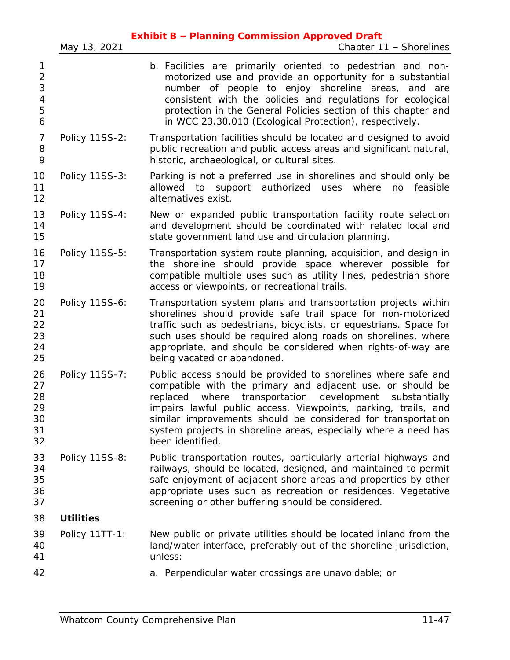|                                         |                  | <b>Exhibit B - Planning Commission Approved Draft</b>                                                                                                                                                                                                                                                                                                                                                           |
|-----------------------------------------|------------------|-----------------------------------------------------------------------------------------------------------------------------------------------------------------------------------------------------------------------------------------------------------------------------------------------------------------------------------------------------------------------------------------------------------------|
|                                         | May 13, 2021     | Chapter 11 - Shorelines                                                                                                                                                                                                                                                                                                                                                                                         |
| 1<br>$\overline{2}$<br>3<br>4<br>5<br>6 |                  | b. Facilities are primarily oriented to pedestrian and non-<br>motorized use and provide an opportunity for a substantial<br>number of people to enjoy shoreline areas, and are<br>consistent with the policies and regulations for ecological<br>protection in the General Policies section of this chapter and<br>in WCC 23.30.010 (Ecological Protection), respectively.                                     |
| 7<br>8<br>9                             | Policy 11SS-2:   | Transportation facilities should be located and designed to avoid<br>public recreation and public access areas and significant natural,<br>historic, archaeological, or cultural sites.                                                                                                                                                                                                                         |
| 10<br>11<br>12                          | Policy 11SS-3:   | Parking is not a preferred use in shorelines and should only be<br>allowed to support authorized uses where<br>no<br>feasible<br>alternatives exist.                                                                                                                                                                                                                                                            |
| 13<br>14<br>15                          | Policy 11SS-4:   | New or expanded public transportation facility route selection<br>and development should be coordinated with related local and<br>state government land use and circulation planning.                                                                                                                                                                                                                           |
| 16<br>17<br>18<br>19                    | Policy 11SS-5:   | Transportation system route planning, acquisition, and design in<br>the shoreline should provide space wherever possible for<br>compatible multiple uses such as utility lines, pedestrian shore<br>access or viewpoints, or recreational trails.                                                                                                                                                               |
| 20<br>21<br>22<br>23<br>24<br>25        | Policy 11SS-6:   | Transportation system plans and transportation projects within<br>shorelines should provide safe trail space for non-motorized<br>traffic such as pedestrians, bicyclists, or equestrians. Space for<br>such uses should be required along roads on shorelines, where<br>appropriate, and should be considered when rights-of-way are<br>being vacated or abandoned.                                            |
| 26<br>27<br>28<br>29<br>30<br>31<br>32  | Policy 11SS-7:   | Public access should be provided to shorelines where safe and<br>compatible with the primary and adjacent use, or should be<br>replaced where transportation development substantially<br>impairs lawful public access. Viewpoints, parking, trails, and<br>similar improvements should be considered for transportation<br>system projects in shoreline areas, especially where a need has<br>been identified. |
| 33<br>34<br>35<br>36<br>37              | Policy 11SS-8:   | Public transportation routes, particularly arterial highways and<br>railways, should be located, designed, and maintained to permit<br>safe enjoyment of adjacent shore areas and properties by other<br>appropriate uses such as recreation or residences. Vegetative<br>screening or other buffering should be considered.                                                                                    |
| 38                                      | <b>Utilities</b> |                                                                                                                                                                                                                                                                                                                                                                                                                 |
| 39<br>40<br>41                          | Policy 11TT-1:   | New public or private utilities should be located inland from the<br>land/water interface, preferably out of the shoreline jurisdiction,<br>unless:                                                                                                                                                                                                                                                             |
| 42                                      |                  | a. Perpendicular water crossings are unavoidable; or                                                                                                                                                                                                                                                                                                                                                            |